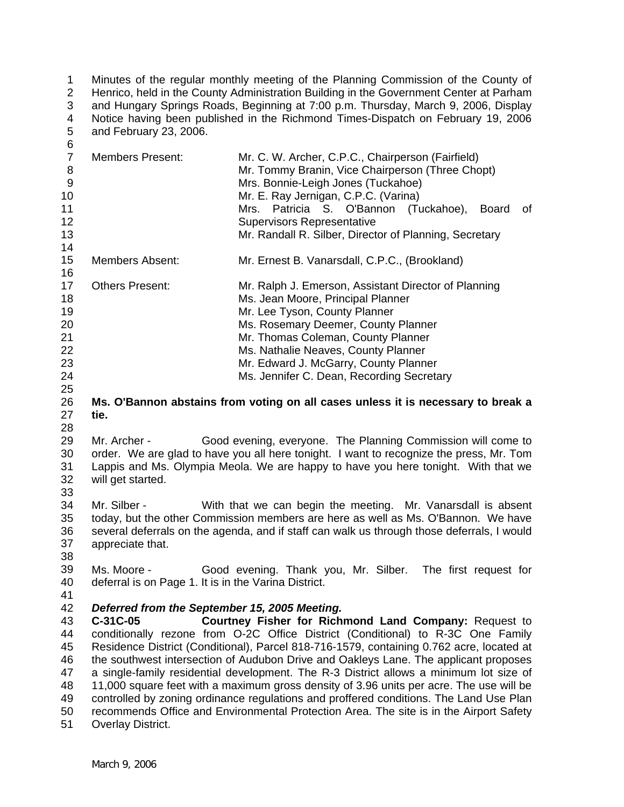1 2 3 4 5  $\kappa$ Minutes of the regular monthly meeting of the Planning Commission of the County of Henrico, held in the County Administration Building in the Government Center at Parham and Hungary Springs Roads, Beginning at 7:00 p.m. Thursday, March 9, 2006, Display Notice having been published in the Richmond Times-Dispatch on February 19, 2006 and February 23, 2006.

| ◡<br>$\overline{7}$<br>8<br>$\boldsymbol{9}$<br>10<br>11<br>12<br>13<br>14 | <b>Members Present:</b>                                                                                                                                                                                                                                                                                                                                                                                                                                                                                                                                                                                                                                                                                                                                                                 | Mr. C. W. Archer, C.P.C., Chairperson (Fairfield)<br>Mr. Tommy Branin, Vice Chairperson (Three Chopt)<br>Mrs. Bonnie-Leigh Jones (Tuckahoe)<br>Mr. E. Ray Jernigan, C.P.C. (Varina)<br>Patricia S. O'Bannon (Tuckahoe),<br>Mrs.<br><b>Board</b><br>οf<br><b>Supervisors Representative</b><br>Mr. Randall R. Silber, Director of Planning, Secretary |  |
|----------------------------------------------------------------------------|-----------------------------------------------------------------------------------------------------------------------------------------------------------------------------------------------------------------------------------------------------------------------------------------------------------------------------------------------------------------------------------------------------------------------------------------------------------------------------------------------------------------------------------------------------------------------------------------------------------------------------------------------------------------------------------------------------------------------------------------------------------------------------------------|------------------------------------------------------------------------------------------------------------------------------------------------------------------------------------------------------------------------------------------------------------------------------------------------------------------------------------------------------|--|
| 15<br>16                                                                   | <b>Members Absent:</b>                                                                                                                                                                                                                                                                                                                                                                                                                                                                                                                                                                                                                                                                                                                                                                  | Mr. Ernest B. Vanarsdall, C.P.C., (Brookland)                                                                                                                                                                                                                                                                                                        |  |
| 17<br>18<br>19<br>20<br>21<br>22<br>23<br>24<br>25                         | <b>Others Present:</b>                                                                                                                                                                                                                                                                                                                                                                                                                                                                                                                                                                                                                                                                                                                                                                  | Mr. Ralph J. Emerson, Assistant Director of Planning<br>Ms. Jean Moore, Principal Planner<br>Mr. Lee Tyson, County Planner<br>Ms. Rosemary Deemer, County Planner<br>Mr. Thomas Coleman, County Planner<br>Ms. Nathalie Neaves, County Planner<br>Mr. Edward J. McGarry, County Planner<br>Ms. Jennifer C. Dean, Recording Secretary                 |  |
| 26<br>27<br>28                                                             | tie.                                                                                                                                                                                                                                                                                                                                                                                                                                                                                                                                                                                                                                                                                                                                                                                    | Ms. O'Bannon abstains from voting on all cases unless it is necessary to break a                                                                                                                                                                                                                                                                     |  |
| 29<br>30<br>31<br>32<br>33                                                 | Good evening, everyone. The Planning Commission will come to<br>Mr. Archer -<br>order. We are glad to have you all here tonight. I want to recognize the press, Mr. Tom<br>Lappis and Ms. Olympia Meola. We are happy to have you here tonight. With that we<br>will get started.                                                                                                                                                                                                                                                                                                                                                                                                                                                                                                       |                                                                                                                                                                                                                                                                                                                                                      |  |
| 34<br>35<br>36<br>37<br>38                                                 | Mr. Silber -<br>appreciate that.                                                                                                                                                                                                                                                                                                                                                                                                                                                                                                                                                                                                                                                                                                                                                        | With that we can begin the meeting. Mr. Vanarsdall is absent<br>today, but the other Commission members are here as well as Ms. O'Bannon. We have<br>several deferrals on the agenda, and if staff can walk us through those deferrals, I would                                                                                                      |  |
| 39<br>40<br>41                                                             | Ms. Moore -<br>deferral is on Page 1. It is in the Varina District.                                                                                                                                                                                                                                                                                                                                                                                                                                                                                                                                                                                                                                                                                                                     | Good evening. Thank you, Mr. Silber. The first request for                                                                                                                                                                                                                                                                                           |  |
| 42<br>43<br>44<br>45<br>46<br>47<br>48<br>49<br>50<br>51                   | Deferred from the September 15, 2005 Meeting.<br>C-31C-05<br>Courtney Fisher for Richmond Land Company: Request to<br>conditionally rezone from O-2C Office District (Conditional) to R-3C One Family<br>Residence District (Conditional), Parcel 818-716-1579, containing 0.762 acre, located at<br>the southwest intersection of Audubon Drive and Oakleys Lane. The applicant proposes<br>a single-family residential development. The R-3 District allows a minimum lot size of<br>11,000 square feet with a maximum gross density of 3.96 units per acre. The use will be<br>controlled by zoning ordinance regulations and proffered conditions. The Land Use Plan<br>recommends Office and Environmental Protection Area. The site is in the Airport Safety<br>Overlay District. |                                                                                                                                                                                                                                                                                                                                                      |  |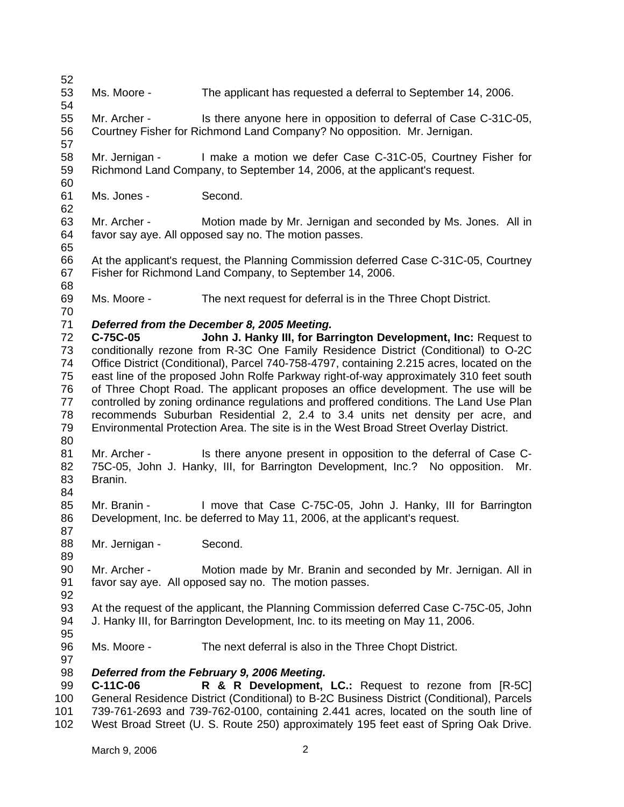52 53 54 55 56 57 58 59 60 61 62 63 64 65 66 67 68 69 70 71 72 73 74 75 76 77 78 79 80 81 82 83 84 85 86 87 88 89 90 91 92 93 94 95 96 97 98 99 100 101 102 Ms. Moore - The applicant has requested a deferral to September 14, 2006. Mr. Archer - Is there anyone here in opposition to deferral of Case C-31C-05, Courtney Fisher for Richmond Land Company? No opposition. Mr. Jernigan. Mr. Jernigan - I make a motion we defer Case C-31C-05, Courtney Fisher for Richmond Land Company, to September 14, 2006, at the applicant's request. Ms. Jones - Second. Mr. Archer - Motion made by Mr. Jernigan and seconded by Ms. Jones. All in favor say aye. All opposed say no. The motion passes. At the applicant's request, the Planning Commission deferred Case C-31C-05, Courtney Fisher for Richmond Land Company, to September 14, 2006. Ms. Moore - The next request for deferral is in the Three Chopt District. *Deferred from the December 8, 2005 Meeting.*  **C-75C-05 John J. Hanky III, for Barrington Development, Inc:** Request to conditionally rezone from R-3C One Family Residence District (Conditional) to O-2C Office District (Conditional), Parcel 740-758-4797, containing 2.215 acres, located on the east line of the proposed John Rolfe Parkway right-of-way approximately 310 feet south of Three Chopt Road. The applicant proposes an office development. The use will be controlled by zoning ordinance regulations and proffered conditions. The Land Use Plan recommends Suburban Residential 2, 2.4 to 3.4 units net density per acre, and Environmental Protection Area. The site is in the West Broad Street Overlay District. Mr. Archer - Is there anyone present in opposition to the deferral of Case C-75C-05, John J. Hanky, III, for Barrington Development, Inc.? No opposition. Mr. Branin. Mr. Branin - I move that Case C-75C-05, John J. Hanky, III for Barrington Development, Inc. be deferred to May 11, 2006, at the applicant's request. Mr. Jernigan - Second. Mr. Archer - Motion made by Mr. Branin and seconded by Mr. Jernigan. All in favor say aye. All opposed say no. The motion passes. At the request of the applicant, the Planning Commission deferred Case C-75C-05, John J. Hanky III, for Barrington Development, Inc. to its meeting on May 11, 2006. Ms. Moore - The next deferral is also in the Three Chopt District. *Deferred from the February 9, 2006 Meeting.*  **C-11C-06 R & R Development, LC.:** Request to rezone from [R-5C] General Residence District (Conditional) to B-2C Business District (Conditional), Parcels 739-761-2693 and 739-762-0100, containing 2.441 acres, located on the south line of West Broad Street (U. S. Route 250) approximately 195 feet east of Spring Oak Drive.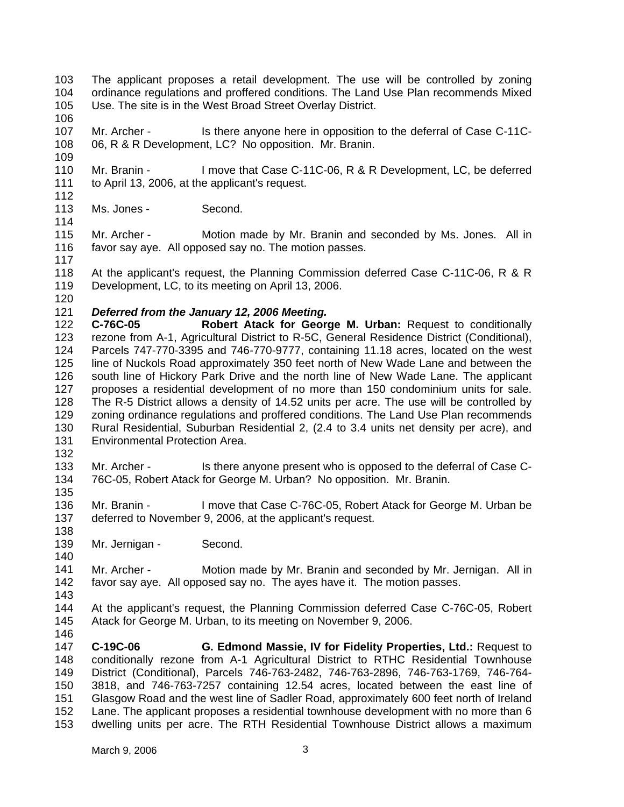103 104 105 The applicant proposes a retail development. The use will be controlled by zoning ordinance regulations and proffered conditions. The Land Use Plan recommends Mixed Use. The site is in the West Broad Street Overlay District.

106

109

107 108 Mr. Archer - Is there anyone here in opposition to the deferral of Case C-11C-06, R & R Development, LC? No opposition. Mr. Branin.

110 111 112 Mr. Branin - I move that Case C-11C-06, R & R Development, LC, be deferred to April 13, 2006, at the applicant's request.

113 Ms. Jones - Second.

115 116 Mr. Archer - Motion made by Mr. Branin and seconded by Ms. Jones. All in favor say aye. All opposed say no. The motion passes.

117

114

118 119 At the applicant's request, the Planning Commission deferred Case C-11C-06, R & R Development, LC, to its meeting on April 13, 2006.

120

## 121 *Deferred from the January 12, 2006 Meeting.*

122 123 124 125 126 127 128 129 130 131 **C-76C-05 Robert Atack for George M. Urban:** Request to conditionally rezone from A-1, Agricultural District to R-5C, General Residence District (Conditional), Parcels 747-770-3395 and 746-770-9777, containing 11.18 acres, located on the west line of Nuckols Road approximately 350 feet north of New Wade Lane and between the south line of Hickory Park Drive and the north line of New Wade Lane. The applicant proposes a residential development of no more than 150 condominium units for sale. The R-5 District allows a density of 14.52 units per acre. The use will be controlled by zoning ordinance regulations and proffered conditions. The Land Use Plan recommends Rural Residential, Suburban Residential 2, (2.4 to 3.4 units net density per acre), and Environmental Protection Area.

132

133 134 Mr. Archer - Is there anyone present who is opposed to the deferral of Case C-76C-05, Robert Atack for George M. Urban? No opposition. Mr. Branin.

135

136 137 138 Mr. Branin - I move that Case C-76C-05, Robert Atack for George M. Urban be deferred to November 9, 2006, at the applicant's request.

139 Mr. Jernigan - Second.

141 142 Mr. Archer - Motion made by Mr. Branin and seconded by Mr. Jernigan. All in favor say aye. All opposed say no. The ayes have it. The motion passes.

143

140

144 145 146 At the applicant's request, the Planning Commission deferred Case C-76C-05, Robert Atack for George M. Urban, to its meeting on November 9, 2006.

147 148 149 150 151 152 153 **C-19C-06 G. Edmond Massie, IV for Fidelity Properties, Ltd.:** Request to conditionally rezone from A-1 Agricultural District to RTHC Residential Townhouse District (Conditional), Parcels 746-763-2482, 746-763-2896, 746-763-1769, 746-764- 3818, and 746-763-7257 containing 12.54 acres, located between the east line of Glasgow Road and the west line of Sadler Road, approximately 600 feet north of Ireland Lane. The applicant proposes a residential townhouse development with no more than 6 dwelling units per acre. The RTH Residential Townhouse District allows a maximum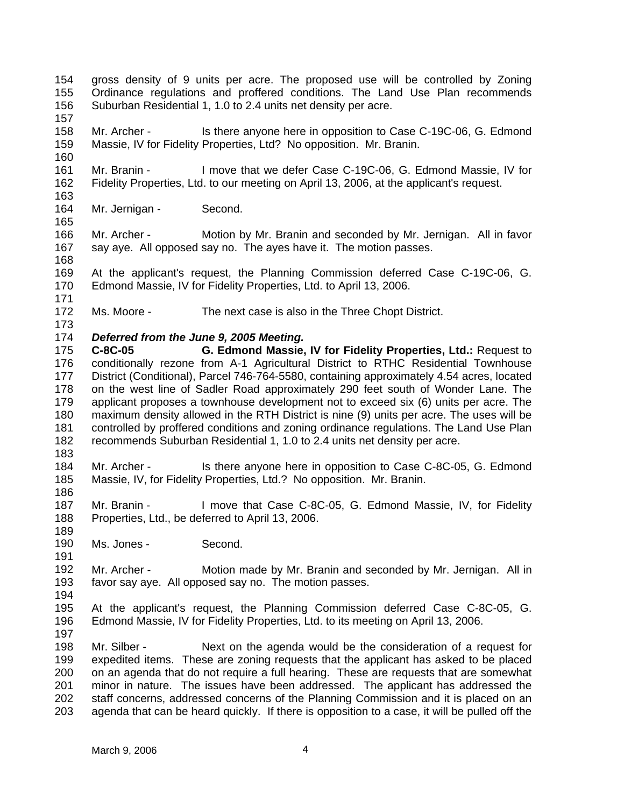154 155 156 157 158 159 160 161 162 163 164 165 166 167 168 169 170 171 172 173 174 175 176 177 178 179 180 181 182 183 184 185 186 187 188 189 190 191 192 193 194 195 196 197 198 199 200 201 202 203 gross density of 9 units per acre. The proposed use will be controlled by Zoning Ordinance regulations and proffered conditions. The Land Use Plan recommends Suburban Residential 1, 1.0 to 2.4 units net density per acre. Mr. Archer - Is there anyone here in opposition to Case C-19C-06, G. Edmond Massie, IV for Fidelity Properties, Ltd? No opposition. Mr. Branin. Mr. Branin - I move that we defer Case C-19C-06, G. Edmond Massie, IV for Fidelity Properties, Ltd. to our meeting on April 13, 2006, at the applicant's request. Mr. Jernigan - Second. Mr. Archer - Motion by Mr. Branin and seconded by Mr. Jernigan. All in favor say aye. All opposed say no. The ayes have it. The motion passes. At the applicant's request, the Planning Commission deferred Case C-19C-06, G. Edmond Massie, IV for Fidelity Properties, Ltd. to April 13, 2006. Ms. Moore - The next case is also in the Three Chopt District. *Deferred from the June 9, 2005 Meeting.*  **C-8C-05 G. Edmond Massie, IV for Fidelity Properties, Ltd.:** Request to conditionally rezone from A-1 Agricultural District to RTHC Residential Townhouse District (Conditional), Parcel 746-764-5580, containing approximately 4.54 acres, located on the west line of Sadler Road approximately 290 feet south of Wonder Lane. The applicant proposes a townhouse development not to exceed six (6) units per acre. The maximum density allowed in the RTH District is nine (9) units per acre. The uses will be controlled by proffered conditions and zoning ordinance regulations. The Land Use Plan recommends Suburban Residential 1, 1.0 to 2.4 units net density per acre. Mr. Archer - Is there anyone here in opposition to Case C-8C-05, G. Edmond Massie, IV, for Fidelity Properties, Ltd.? No opposition. Mr. Branin. Mr. Branin - I move that Case C-8C-05, G. Edmond Massie, IV, for Fidelity Properties, Ltd., be deferred to April 13, 2006. Ms. Jones - Second. Mr. Archer - Motion made by Mr. Branin and seconded by Mr. Jernigan. All in favor say aye. All opposed say no. The motion passes. At the applicant's request, the Planning Commission deferred Case C-8C-05, G. Edmond Massie, IV for Fidelity Properties, Ltd. to its meeting on April 13, 2006. Mr. Silber - Next on the agenda would be the consideration of a request for expedited items. These are zoning requests that the applicant has asked to be placed on an agenda that do not require a full hearing. These are requests that are somewhat minor in nature. The issues have been addressed. The applicant has addressed the staff concerns, addressed concerns of the Planning Commission and it is placed on an agenda that can be heard quickly. If there is opposition to a case, it will be pulled off the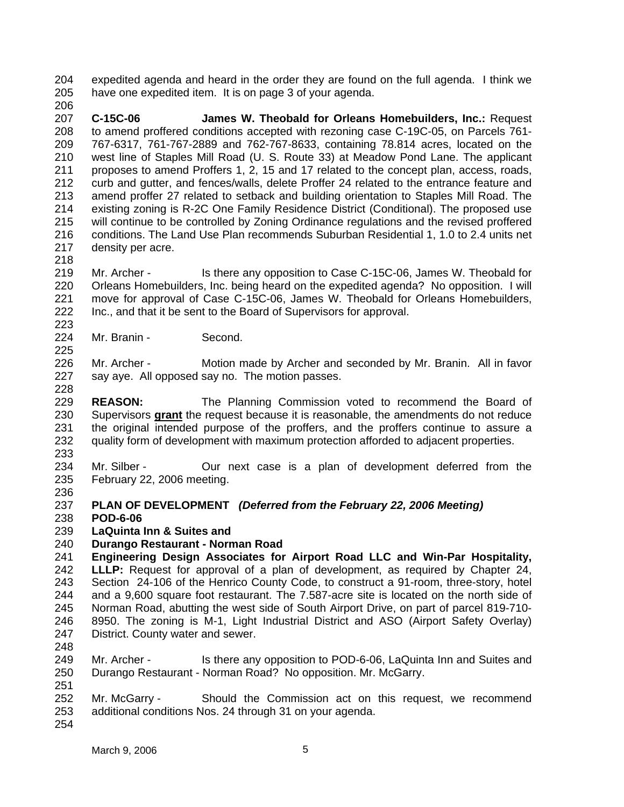204 205 expedited agenda and heard in the order they are found on the full agenda. I think we have one expedited item. It is on page 3 of your agenda.

- 207 208 209 210 211 212 213 214 215 216 217 **C-15C-06 James W. Theobald for Orleans Homebuilders, Inc.:** Request to amend proffered conditions accepted with rezoning case C-19C-05, on Parcels 761- 767-6317, 761-767-2889 and 762-767-8633, containing 78.814 acres, located on the west line of Staples Mill Road (U. S. Route 33) at Meadow Pond Lane. The applicant proposes to amend Proffers 1, 2, 15 and 17 related to the concept plan, access, roads, curb and gutter, and fences/walls, delete Proffer 24 related to the entrance feature and amend proffer 27 related to setback and building orientation to Staples Mill Road. The existing zoning is R-2C One Family Residence District (Conditional). The proposed use will continue to be controlled by Zoning Ordinance regulations and the revised proffered conditions. The Land Use Plan recommends Suburban Residential 1, 1.0 to 2.4 units net density per acre.
- 218

223

225

206

219 220 221 222 Mr. Archer - Is there any opposition to Case C-15C-06, James W. Theobald for Orleans Homebuilders, Inc. being heard on the expedited agenda? No opposition. I will move for approval of Case C-15C-06, James W. Theobald for Orleans Homebuilders, Inc., and that it be sent to the Board of Supervisors for approval.

224 Mr. Branin - Second.

226 227 228 Mr. Archer - Motion made by Archer and seconded by Mr. Branin. All in favor say aye. All opposed say no. The motion passes.

229 **REASON:** The Planning Commission voted to recommend the Board of Supervisors **grant** the request because it is reasonable, the amendments do not reduce the original intended purpose of the proffers, and the proffers continue to assure a quality form of development with maximum protection afforded to adjacent properties. 230 231 232

233

234 235 Mr. Silber - Our next case is a plan of development deferred from the February 22, 2006 meeting.

- 236
- 237 **PLAN OF DEVELOPMENT** *(Deferred from the February 22, 2006 Meeting)*
- 238 **POD-6-06**
- 239 **LaQuinta Inn & Suites and**
- 240 **Durango Restaurant - Norman Road**

241 242 243 244 245 246 247 **Engineering Design Associates for Airport Road LLC and Win-Par Hospitality, LLLP:** Request for approval of a plan of development, as required by Chapter 24, Section 24-106 of the Henrico County Code, to construct a 91-room, three-story, hotel and a 9,600 square foot restaurant. The 7.587-acre site is located on the north side of Norman Road, abutting the west side of South Airport Drive, on part of parcel 819-710- 8950. The zoning is M-1, Light Industrial District and ASO (Airport Safety Overlay) District. County water and sewer.

248

249 250 251 Mr. Archer - Is there any opposition to POD-6-06, LaQuinta Inn and Suites and Durango Restaurant - Norman Road? No opposition. Mr. McGarry.

252 253 Mr. McGarry - Should the Commission act on this request, we recommend additional conditions Nos. 24 through 31 on your agenda.

254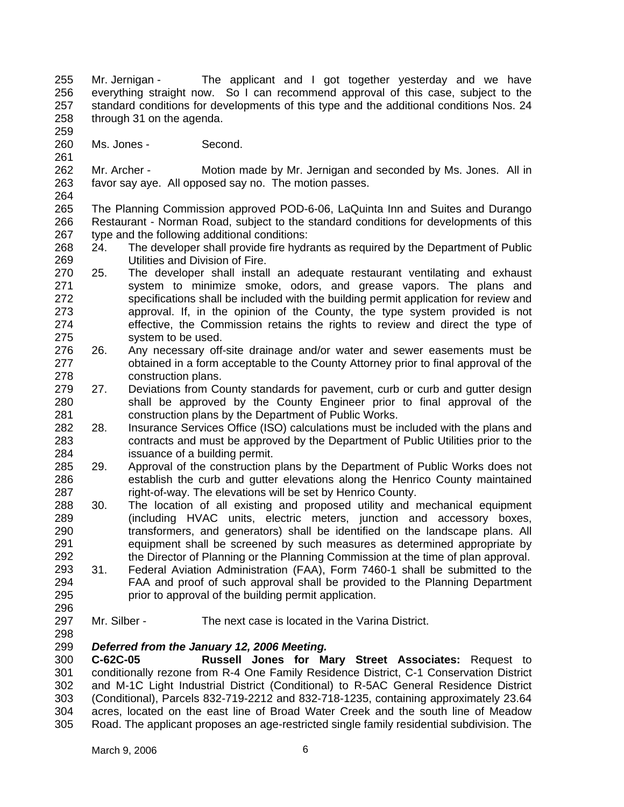255 256 257 258 Mr. Jernigan - The applicant and I got together yesterday and we have everything straight now. So I can recommend approval of this case, subject to the standard conditions for developments of this type and the additional conditions Nos. 24 through 31 on the agenda.

260 Ms. Jones - Second.

259

261

262 263 264 Mr. Archer - Motion made by Mr. Jernigan and seconded by Ms. Jones. All in favor say aye. All opposed say no. The motion passes.

265 266 267 The Planning Commission approved POD-6-06, LaQuinta Inn and Suites and Durango Restaurant - Norman Road, subject to the standard conditions for developments of this type and the following additional conditions:

- 268 269 24. The developer shall provide fire hydrants as required by the Department of Public Utilities and Division of Fire.
- 270 271 272 273 274 275 25. The developer shall install an adequate restaurant ventilating and exhaust system to minimize smoke, odors, and grease vapors. The plans and specifications shall be included with the building permit application for review and approval. If, in the opinion of the County, the type system provided is not effective, the Commission retains the rights to review and direct the type of system to be used.
- 276 277 278 26. Any necessary off-site drainage and/or water and sewer easements must be obtained in a form acceptable to the County Attorney prior to final approval of the construction plans.
- 279 280 281 27. Deviations from County standards for pavement, curb or curb and gutter design shall be approved by the County Engineer prior to final approval of the construction plans by the Department of Public Works.
- 282 283 284 28. Insurance Services Office (ISO) calculations must be included with the plans and contracts and must be approved by the Department of Public Utilities prior to the issuance of a building permit.
- 285 286 287 29. Approval of the construction plans by the Department of Public Works does not establish the curb and gutter elevations along the Henrico County maintained right-of-way. The elevations will be set by Henrico County.
- 288 289 290 291 292 30. The location of all existing and proposed utility and mechanical equipment (including HVAC units, electric meters, junction and accessory boxes, transformers, and generators) shall be identified on the landscape plans. All equipment shall be screened by such measures as determined appropriate by the Director of Planning or the Planning Commission at the time of plan approval.
- 293 294 295 31. Federal Aviation Administration (FAA), Form 7460-1 shall be submitted to the FAA and proof of such approval shall be provided to the Planning Department prior to approval of the building permit application.
- 297 Mr. Silber - The next case is located in the Varina District.
- 298

296

## 299 *Deferred from the January 12, 2006 Meeting.*

300 301 302 303 304 305 **C-62C-05 Russell Jones for Mary Street Associates:** Request to conditionally rezone from R-4 One Family Residence District, C-1 Conservation District and M-1C Light Industrial District (Conditional) to R-5AC General Residence District (Conditional), Parcels 832-719-2212 and 832-718-1235, containing approximately 23.64 acres, located on the east line of Broad Water Creek and the south line of Meadow Road. The applicant proposes an age-restricted single family residential subdivision. The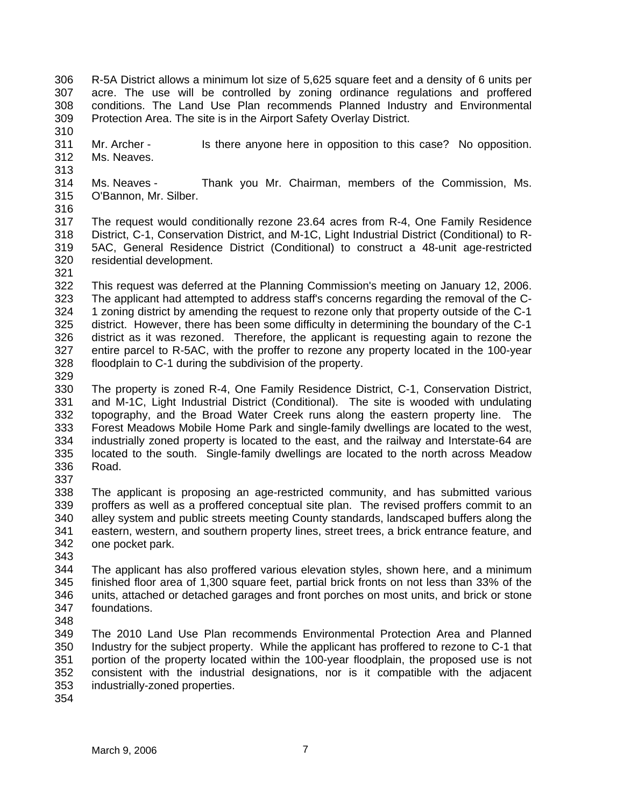- 306 307 308 309 R-5A District allows a minimum lot size of 5,625 square feet and a density of 6 units per acre. The use will be controlled by zoning ordinance regulations and proffered conditions. The Land Use Plan recommends Planned Industry and Environmental Protection Area. The site is in the Airport Safety Overlay District.
- 311 312 Mr. Archer - Is there anyone here in opposition to this case? No opposition. Ms. Neaves.
- 313

310

- 314 315 316 Ms. Neaves - Thank you Mr. Chairman, members of the Commission, Ms. O'Bannon, Mr. Silber.
- 317 318 319 320 321 The request would conditionally rezone 23.64 acres from R-4, One Family Residence District, C-1, Conservation District, and M-1C, Light Industrial District (Conditional) to R-5AC, General Residence District (Conditional) to construct a 48-unit age-restricted residential development.
- 322 323 324 325 326 327 328 This request was deferred at the Planning Commission's meeting on January 12, 2006. The applicant had attempted to address staff's concerns regarding the removal of the C-1 zoning district by amending the request to rezone only that property outside of the C-1 district. However, there has been some difficulty in determining the boundary of the C-1 district as it was rezoned. Therefore, the applicant is requesting again to rezone the entire parcel to R-5AC, with the proffer to rezone any property located in the 100-year floodplain to C-1 during the subdivision of the property.
- 329
- 330 331 332 333 334 335 336 337 The property is zoned R-4, One Family Residence District, C-1, Conservation District, and M-1C, Light Industrial District (Conditional). The site is wooded with undulating topography, and the Broad Water Creek runs along the eastern property line. The Forest Meadows Mobile Home Park and single-family dwellings are located to the west, industrially zoned property is located to the east, and the railway and Interstate-64 are located to the south. Single-family dwellings are located to the north across Meadow Road.
- 338 339 340 341 342 The applicant is proposing an age-restricted community, and has submitted various proffers as well as a proffered conceptual site plan. The revised proffers commit to an alley system and public streets meeting County standards, landscaped buffers along the eastern, western, and southern property lines, street trees, a brick entrance feature, and one pocket park.
- 343

344 345 346 347 The applicant has also proffered various elevation styles, shown here, and a minimum finished floor area of 1,300 square feet, partial brick fronts on not less than 33% of the units, attached or detached garages and front porches on most units, and brick or stone foundations.

- 348
- 349 350 351 352 353 The 2010 Land Use Plan recommends Environmental Protection Area and Planned Industry for the subject property. While the applicant has proffered to rezone to C-1 that portion of the property located within the 100-year floodplain, the proposed use is not consistent with the industrial designations, nor is it compatible with the adjacent industrially-zoned properties.
- 354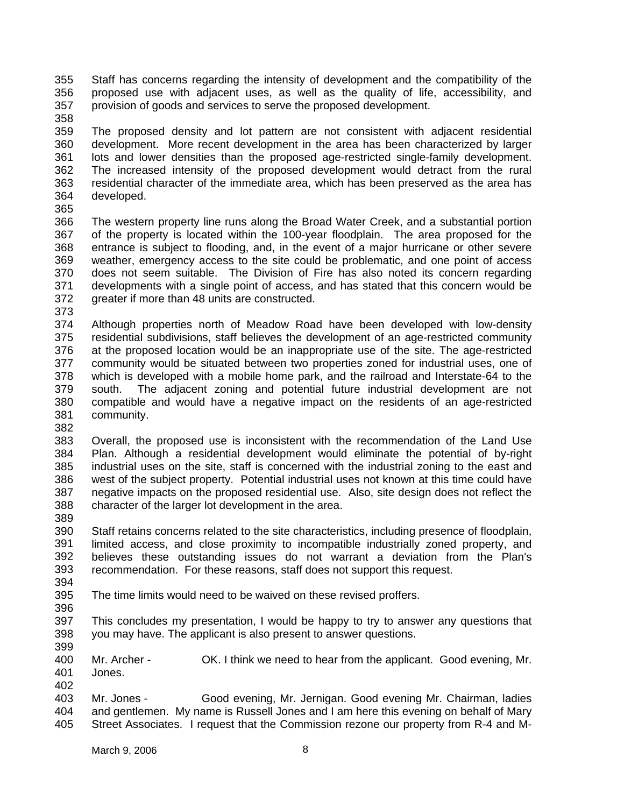355 356 357 358 Staff has concerns regarding the intensity of development and the compatibility of the proposed use with adjacent uses, as well as the quality of life, accessibility, and provision of goods and services to serve the proposed development.

- 359 360 361 362 363 364 The proposed density and lot pattern are not consistent with adjacent residential development. More recent development in the area has been characterized by larger lots and lower densities than the proposed age-restricted single-family development. The increased intensity of the proposed development would detract from the rural residential character of the immediate area, which has been preserved as the area has developed.
- 365
- 366 367 368 369 370 371 372 The western property line runs along the Broad Water Creek, and a substantial portion of the property is located within the 100-year floodplain. The area proposed for the entrance is subject to flooding, and, in the event of a major hurricane or other severe weather, emergency access to the site could be problematic, and one point of access does not seem suitable. The Division of Fire has also noted its concern regarding developments with a single point of access, and has stated that this concern would be greater if more than 48 units are constructed.
- 373
- 374 375 376 377 378 379 380 381 Although properties north of Meadow Road have been developed with low-density residential subdivisions, staff believes the development of an age-restricted community at the proposed location would be an inappropriate use of the site. The age-restricted community would be situated between two properties zoned for industrial uses, one of which is developed with a mobile home park, and the railroad and Interstate-64 to the south. The adjacent zoning and potential future industrial development are not compatible and would have a negative impact on the residents of an age-restricted community.
- 382

383 384 385 386 387 388 Overall, the proposed use is inconsistent with the recommendation of the Land Use Plan. Although a residential development would eliminate the potential of by-right industrial uses on the site, staff is concerned with the industrial zoning to the east and west of the subject property. Potential industrial uses not known at this time could have negative impacts on the proposed residential use. Also, site design does not reflect the character of the larger lot development in the area.

389

390 391 392 393 394 Staff retains concerns related to the site characteristics, including presence of floodplain, limited access, and close proximity to incompatible industrially zoned property, and believes these outstanding issues do not warrant a deviation from the Plan's recommendation. For these reasons, staff does not support this request.

- 395 The time limits would need to be waived on these revised proffers.
- 396
- 397 398 This concludes my presentation, I would be happy to try to answer any questions that you may have. The applicant is also present to answer questions.
- 399

400 401 402 Mr. Archer - OK. I think we need to hear from the applicant. Good evening, Mr. Jones.

403 404 405 Mr. Jones - Good evening, Mr. Jernigan. Good evening Mr. Chairman, ladies and gentlemen. My name is Russell Jones and I am here this evening on behalf of Mary Street Associates. I request that the Commission rezone our property from R-4 and M-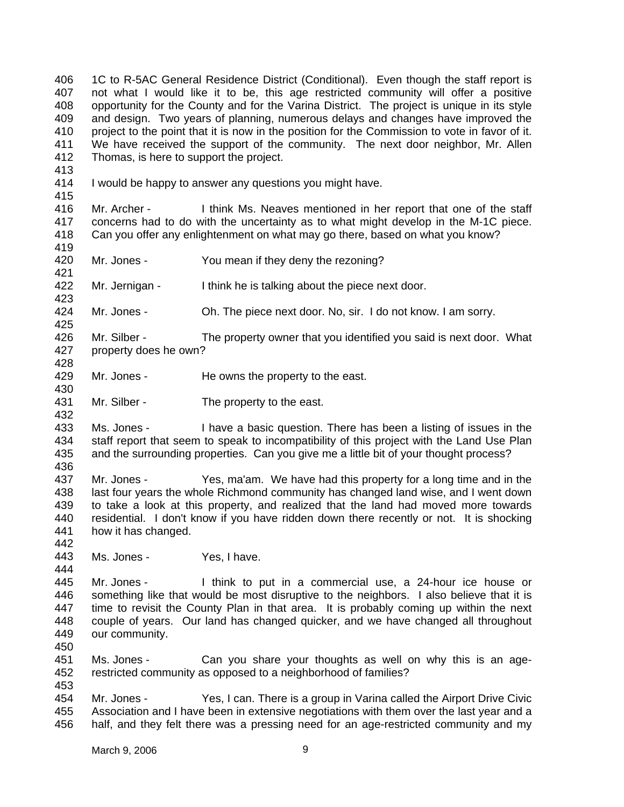406 407 408 409 410 411 412 1C to R-5AC General Residence District (Conditional). Even though the staff report is not what I would like it to be, this age restricted community will offer a positive opportunity for the County and for the Varina District. The project is unique in its style and design. Two years of planning, numerous delays and changes have improved the project to the point that it is now in the position for the Commission to vote in favor of it. We have received the support of the community. The next door neighbor, Mr. Allen Thomas, is here to support the project.

- 413
- 414 415 I would be happy to answer any questions you might have.

416 417 418 Mr. Archer - I think Ms. Neaves mentioned in her report that one of the staff concerns had to do with the uncertainty as to what might develop in the M-1C piece. Can you offer any enlightenment on what may go there, based on what you know?

419 420

423

425

428

430

432

442

444

453

421 Mr. Jones - You mean if they deny the rezoning?

422 Mr. Jernigan - I think he is talking about the piece next door.

- 424 Mr. Jones - Oh. The piece next door. No, sir. I do not know. I am sorry.
- 426 427 Mr. Silber - The property owner that you identified you said is next door. What property does he own?
- 429 Mr. Jones - He owns the property to the east.
- 431 Mr. Silber - The property to the east.
- 433 434 435 436 Ms. Jones - I have a basic question. There has been a listing of issues in the staff report that seem to speak to incompatibility of this project with the Land Use Plan and the surrounding properties. Can you give me a little bit of your thought process?
- 437 438 439 440 441 Mr. Jones - Yes, ma'am. We have had this property for a long time and in the last four years the whole Richmond community has changed land wise, and I went down to take a look at this property, and realized that the land had moved more towards residential. I don't know if you have ridden down there recently or not. It is shocking how it has changed.
- 443 Ms. Jones - Yes, I have.

445 446 447 448 449 450 Mr. Jones - I think to put in a commercial use, a 24-hour ice house or something like that would be most disruptive to the neighbors. I also believe that it is time to revisit the County Plan in that area. It is probably coming up within the next couple of years. Our land has changed quicker, and we have changed all throughout our community.

- 451 452 Ms. Jones - Can you share your thoughts as well on why this is an agerestricted community as opposed to a neighborhood of families?
- 454 455 456 Mr. Jones - Yes, I can. There is a group in Varina called the Airport Drive Civic Association and I have been in extensive negotiations with them over the last year and a half, and they felt there was a pressing need for an age-restricted community and my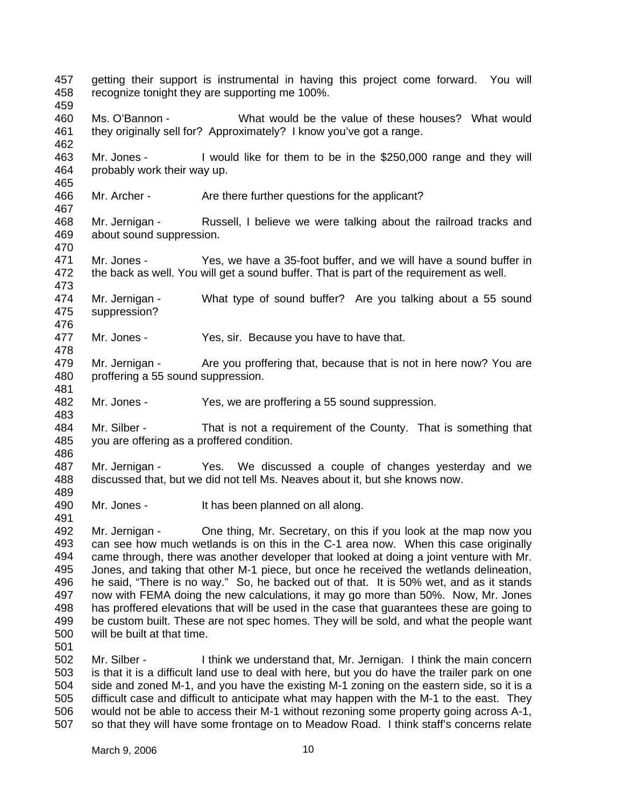457 458 459 460 461 462 463 464 465 466 467 468 469 470 471 472 473 474 475 476 477 478 479 480 481 482 483 484 485 486 487 488 489 490 491 492 493 494 495 496 497 498 499 500 501 502 503 504 505 506 getting their support is instrumental in having this project come forward. You will recognize tonight they are supporting me 100%. Ms. O'Bannon - What would be the value of these houses? What would they originally sell for? Approximately? I know you've got a range. Mr. Jones - I would like for them to be in the \$250,000 range and they will probably work their way up. Mr. Archer - Are there further questions for the applicant? Mr. Jernigan - Russell, I believe we were talking about the railroad tracks and about sound suppression. Mr. Jones - Yes, we have a 35-foot buffer, and we will have a sound buffer in the back as well. You will get a sound buffer. That is part of the requirement as well. Mr. Jernigan - What type of sound buffer? Are you talking about a 55 sound suppression? Mr. Jones - Yes, sir. Because you have to have that. Mr. Jernigan - Are you proffering that, because that is not in here now? You are proffering a 55 sound suppression. Mr. Jones - Yes, we are proffering a 55 sound suppression. Mr. Silber - That is not a requirement of the County. That is something that you are offering as a proffered condition. Mr. Jernigan - Yes. We discussed a couple of changes yesterday and we discussed that, but we did not tell Ms. Neaves about it, but she knows now. Mr. Jones - It has been planned on all along. Mr. Jernigan - One thing, Mr. Secretary, on this if you look at the map now you can see how much wetlands is on this in the C-1 area now. When this case originally came through, there was another developer that looked at doing a joint venture with Mr. Jones, and taking that other M-1 piece, but once he received the wetlands delineation, he said, "There is no way." So, he backed out of that. It is 50% wet, and as it stands now with FEMA doing the new calculations, it may go more than 50%. Now, Mr. Jones has proffered elevations that will be used in the case that guarantees these are going to be custom built. These are not spec homes. They will be sold, and what the people want will be built at that time. Mr. Silber - I think we understand that, Mr. Jernigan. I think the main concern is that it is a difficult land use to deal with here, but you do have the trailer park on one side and zoned M-1, and you have the existing M-1 zoning on the eastern side, so it is a difficult case and difficult to anticipate what may happen with the M-1 to the east. They would not be able to access their M-1 without rezoning some property going across A-1,

507

so that they will have some frontage on to Meadow Road. I think staff's concerns relate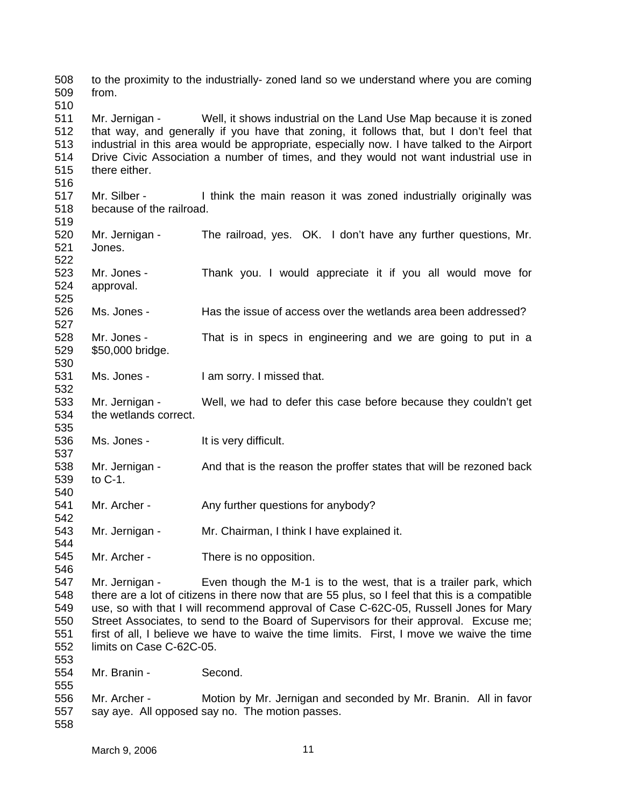508 509 510 511 512 513 514 515 516 517 518 519 520 521 522 523 524 525 526 527 528 529 530 531 532 533 534 535 536 537 538 539 540 541 542 543 544 545 546 547 548 549 550 551 552 553 554 555 556 557 558 to the proximity to the industrially- zoned land so we understand where you are coming from. Mr. Jernigan - Well, it shows industrial on the Land Use Map because it is zoned that way, and generally if you have that zoning, it follows that, but I don't feel that industrial in this area would be appropriate, especially now. I have talked to the Airport Drive Civic Association a number of times, and they would not want industrial use in there either. Mr. Silber - I think the main reason it was zoned industrially originally was because of the railroad. Mr. Jernigan - The railroad, yes. OK. I don't have any further questions, Mr. Jones. Mr. Jones - Thank you. I would appreciate it if you all would move for approval. Ms. Jones - Has the issue of access over the wetlands area been addressed? Mr. Jones - That is in specs in engineering and we are going to put in a \$50,000 bridge. Ms. Jones - I am sorry. I missed that. Mr. Jernigan - Well, we had to defer this case before because they couldn't get the wetlands correct. Ms. Jones - It is very difficult. Mr. Jernigan - And that is the reason the proffer states that will be rezoned back to C-1. Mr. Archer - Any further questions for anybody? Mr. Jernigan - Mr. Chairman, I think I have explained it. Mr. Archer - There is no opposition. Mr. Jernigan - Even though the M-1 is to the west, that is a trailer park, which there are a lot of citizens in there now that are 55 plus, so I feel that this is a compatible use, so with that I will recommend approval of Case C-62C-05, Russell Jones for Mary Street Associates, to send to the Board of Supervisors for their approval. Excuse me; first of all, I believe we have to waive the time limits. First, I move we waive the time limits on Case C-62C-05. Mr. Branin - Second. Mr. Archer - Motion by Mr. Jernigan and seconded by Mr. Branin. All in favor say aye. All opposed say no. The motion passes.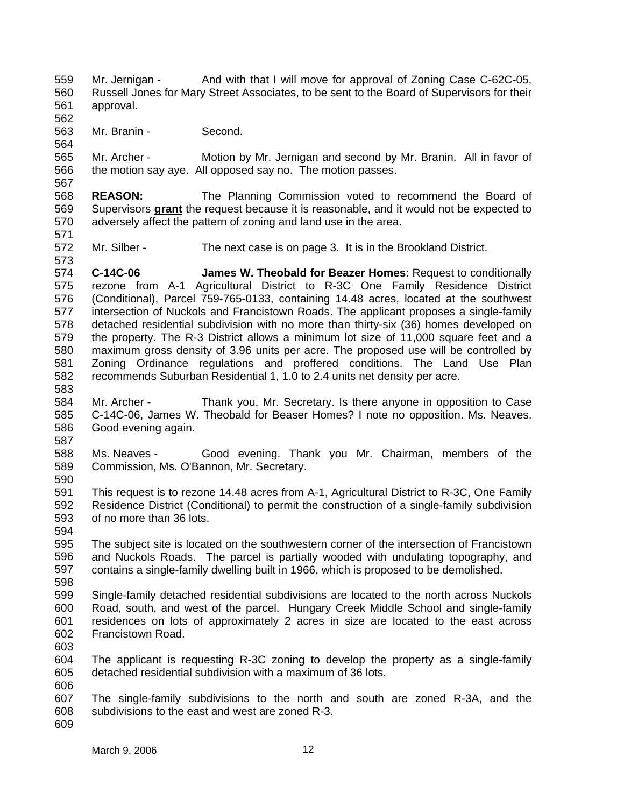559 560 561 Mr. Jernigan - And with that I will move for approval of Zoning Case C-62C-05, Russell Jones for Mary Street Associates, to be sent to the Board of Supervisors for their approval.

563 Mr. Branin - Second.

565 566 567 Mr. Archer - Motion by Mr. Jernigan and second by Mr. Branin. All in favor of the motion say aye. All opposed say no. The motion passes.

568 **REASON:** The Planning Commission voted to recommend the Board of Supervisors **grant** the request because it is reasonable, and it would not be expected to adversely affect the pattern of zoning and land use in the area. 569 570 571

572 Mr. Silber - The next case is on page 3. It is in the Brookland District.

574 575 576 577 578 579 580 581 582 583 **C-14C-06 James W. Theobald for Beazer Homes**: Request to conditionally rezone from A-1 Agricultural District to R-3C One Family Residence District (Conditional), Parcel 759-765-0133, containing 14.48 acres, located at the southwest intersection of Nuckols and Francistown Roads. The applicant proposes a single-family detached residential subdivision with no more than thirty-six (36) homes developed on the property. The R-3 District allows a minimum lot size of 11,000 square feet and a maximum gross density of 3.96 units per acre. The proposed use will be controlled by Zoning Ordinance regulations and proffered conditions. The Land Use Plan recommends Suburban Residential 1, 1.0 to 2.4 units net density per acre.

584 585 586 Mr. Archer - Thank you, Mr. Secretary. Is there anyone in opposition to Case C-14C-06, James W. Theobald for Beaser Homes? I note no opposition. Ms. Neaves. Good evening again.

587

594

562

564

573

588 589 590 Ms. Neaves - Good evening. Thank you Mr. Chairman, members of the Commission, Ms. O'Bannon, Mr. Secretary.

591 592 593 This request is to rezone 14.48 acres from A-1, Agricultural District to R-3C, One Family Residence District (Conditional) to permit the construction of a single-family subdivision of no more than 36 lots.

595 596 597 598 The subject site is located on the southwestern corner of the intersection of Francistown and Nuckols Roads. The parcel is partially wooded with undulating topography, and contains a single-family dwelling built in 1966, which is proposed to be demolished.

599 600 601 602 Single-family detached residential subdivisions are located to the north across Nuckols Road, south, and west of the parcel. Hungary Creek Middle School and single-family residences on lots of approximately 2 acres in size are located to the east across Francistown Road.

603

604 605 606 The applicant is requesting R-3C zoning to develop the property as a single-family detached residential subdivision with a maximum of 36 lots.

607 608 The single-family subdivisions to the north and south are zoned R-3A, and the subdivisions to the east and west are zoned R-3.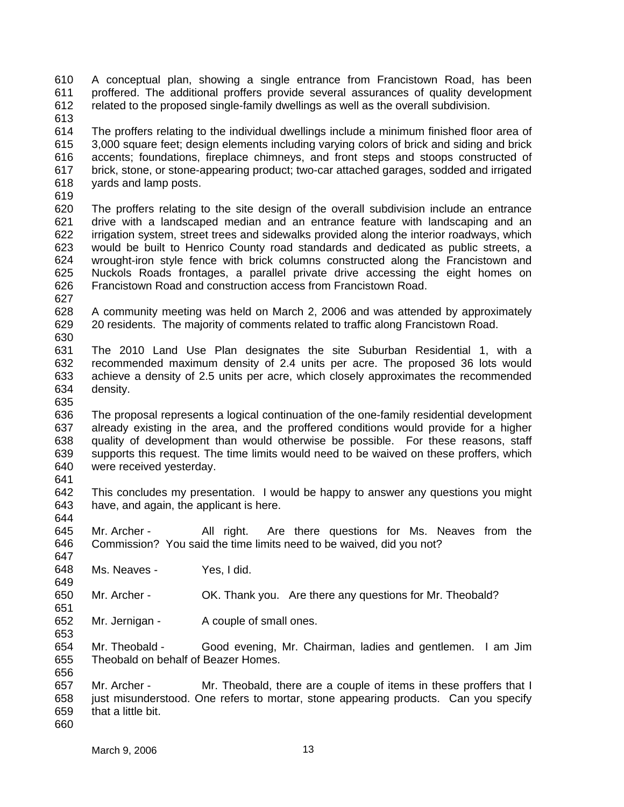610 611 612 A conceptual plan, showing a single entrance from Francistown Road, has been proffered. The additional proffers provide several assurances of quality development related to the proposed single-family dwellings as well as the overall subdivision.

613

614 615 616 617 618 The proffers relating to the individual dwellings include a minimum finished floor area of 3,000 square feet; design elements including varying colors of brick and siding and brick accents; foundations, fireplace chimneys, and front steps and stoops constructed of brick, stone, or stone-appearing product; two-car attached garages, sodded and irrigated yards and lamp posts.

619

620 621 622 623 624 625 626 The proffers relating to the site design of the overall subdivision include an entrance drive with a landscaped median and an entrance feature with landscaping and an irrigation system, street trees and sidewalks provided along the interior roadways, which would be built to Henrico County road standards and dedicated as public streets, a wrought-iron style fence with brick columns constructed along the Francistown and Nuckols Roads frontages, a parallel private drive accessing the eight homes on Francistown Road and construction access from Francistown Road.

- 628 629 A community meeting was held on March 2, 2006 and was attended by approximately 20 residents. The majority of comments related to traffic along Francistown Road.
- 630

627

- 631 632 633 634 The 2010 Land Use Plan designates the site Suburban Residential 1, with a recommended maximum density of 2.4 units per acre. The proposed 36 lots would achieve a density of 2.5 units per acre, which closely approximates the recommended density.
- 635

649

651

653

636 637 638 639 640 641 The proposal represents a logical continuation of the one-family residential development already existing in the area, and the proffered conditions would provide for a higher quality of development than would otherwise be possible. For these reasons, staff supports this request. The time limits would need to be waived on these proffers, which were received yesterday.

642 643 644 This concludes my presentation. I would be happy to answer any questions you might have, and again, the applicant is here.

645 646 647 Mr. Archer - All right. Are there questions for Ms. Neaves from the Commission? You said the time limits need to be waived, did you not?

648 Ms. Neaves - Yes, I did.

650 Mr. Archer - OK. Thank you. Are there any questions for Mr. Theobald?

652 Mr. Jernigan - A couple of small ones.

654 655 656 Mr. Theobald - Good evening, Mr. Chairman, ladies and gentlemen. I am Jim Theobald on behalf of Beazer Homes.

657 658 659 660 Mr. Archer - Mr. Theobald, there are a couple of items in these proffers that I just misunderstood. One refers to mortar, stone appearing products. Can you specify that a little bit.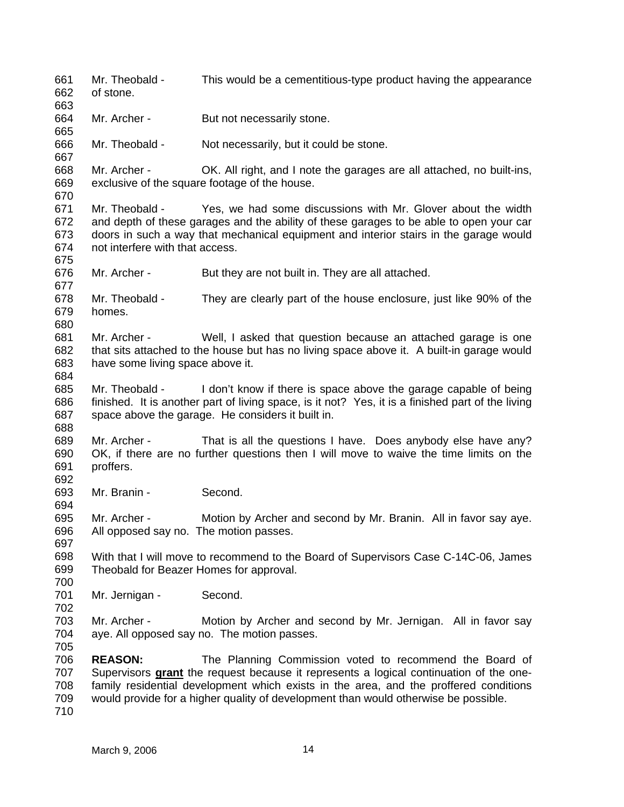661 662 663 664 665 666 667 668 669 670 671 672 673 674 675 676 677 678 679 680 681 682 683 684 685 686 687 688 689 690 691 692 693 694 695 696 697 698 699 700 701 702 703 704 705 706 Mr. Theobald - This would be a cementitious-type product having the appearance of stone. Mr. Archer - But not necessarily stone. Mr. Theobald - Not necessarily, but it could be stone. Mr. Archer - OK. All right, and I note the garages are all attached, no built-ins, exclusive of the square footage of the house. Mr. Theobald - Yes, we had some discussions with Mr. Glover about the width and depth of these garages and the ability of these garages to be able to open your car doors in such a way that mechanical equipment and interior stairs in the garage would not interfere with that access. Mr. Archer - But they are not built in. They are all attached. Mr. Theobald - They are clearly part of the house enclosure, just like 90% of the homes. Mr. Archer - Well, I asked that question because an attached garage is one that sits attached to the house but has no living space above it. A built-in garage would have some living space above it. Mr. Theobald - I don't know if there is space above the garage capable of being finished. It is another part of living space, is it not? Yes, it is a finished part of the living space above the garage. He considers it built in. Mr. Archer - That is all the questions I have. Does anybody else have any? OK, if there are no further questions then I will move to waive the time limits on the proffers. Mr. Branin - Second. Mr. Archer - Motion by Archer and second by Mr. Branin. All in favor say aye. All opposed say no. The motion passes. With that I will move to recommend to the Board of Supervisors Case C-14C-06, James Theobald for Beazer Homes for approval. Mr. Jernigan - Second. Mr. Archer - Motion by Archer and second by Mr. Jernigan. All in favor say aye. All opposed say no. The motion passes. **REASON:** The Planning Commission voted to recommend the Board of Supervisors **grant** the request because it represents a logical continuation of the onefamily residential development which exists in the area, and the proffered conditions would provide for a higher quality of development than would otherwise be possible. 707 708 709 710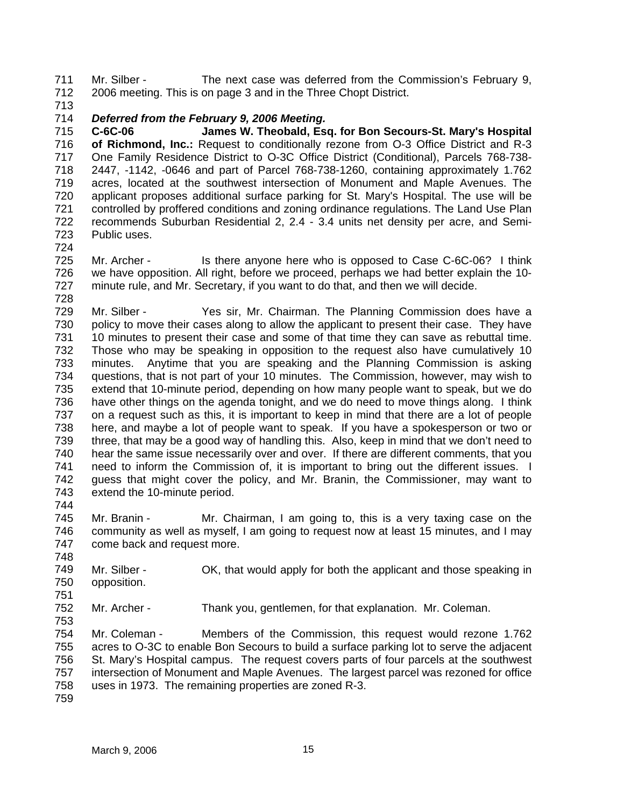711 712 Mr. Silber - The next case was deferred from the Commission's February 9, 2006 meeting. This is on page 3 and in the Three Chopt District.

713

## 714 *Deferred from the February 9, 2006 Meeting.*

715 716 717 718 719 720 721 722 723 **C-6C-06 James W. Theobald, Esq. for Bon Secours-St. Mary's Hospital of Richmond, Inc.:** Request to conditionally rezone from O-3 Office District and R-3 One Family Residence District to O-3C Office District (Conditional), Parcels 768-738- 2447, -1142, -0646 and part of Parcel 768-738-1260, containing approximately 1.762 acres, located at the southwest intersection of Monument and Maple Avenues. The applicant proposes additional surface parking for St. Mary's Hospital. The use will be controlled by proffered conditions and zoning ordinance regulations. The Land Use Plan recommends Suburban Residential 2, 2.4 - 3.4 units net density per acre, and Semi-Public uses.

724

728

748

751

725 726 727 Mr. Archer - Is there anyone here who is opposed to Case C-6C-06? I think we have opposition. All right, before we proceed, perhaps we had better explain the 10 minute rule, and Mr. Secretary, if you want to do that, and then we will decide.

729 730 731 732 733 734 735 736 737 738 739 740 741 742 743 744 Mr. Silber - Yes sir, Mr. Chairman. The Planning Commission does have a policy to move their cases along to allow the applicant to present their case. They have 10 minutes to present their case and some of that time they can save as rebuttal time. Those who may be speaking in opposition to the request also have cumulatively 10 minutes. Anytime that you are speaking and the Planning Commission is asking questions, that is not part of your 10 minutes. The Commission, however, may wish to extend that 10-minute period, depending on how many people want to speak, but we do have other things on the agenda tonight, and we do need to move things along. I think on a request such as this, it is important to keep in mind that there are a lot of people here, and maybe a lot of people want to speak. If you have a spokesperson or two or three, that may be a good way of handling this. Also, keep in mind that we don't need to hear the same issue necessarily over and over. If there are different comments, that you need to inform the Commission of, it is important to bring out the different issues. I guess that might cover the policy, and Mr. Branin, the Commissioner, may want to extend the 10-minute period.

745 746 747 Mr. Branin - Mr. Chairman, I am going to, this is a very taxing case on the community as well as myself, I am going to request now at least 15 minutes, and I may come back and request more.

749 750 Mr. Silber - OK, that would apply for both the applicant and those speaking in opposition.

752 Mr. Archer - Thank you, gentlemen, for that explanation. Mr. Coleman.

753 754 755 756 757 758 759 Mr. Coleman - Members of the Commission, this request would rezone 1.762 acres to O-3C to enable Bon Secours to build a surface parking lot to serve the adjacent St. Mary's Hospital campus. The request covers parts of four parcels at the southwest intersection of Monument and Maple Avenues. The largest parcel was rezoned for office uses in 1973. The remaining properties are zoned R-3.

March 9, 2006 15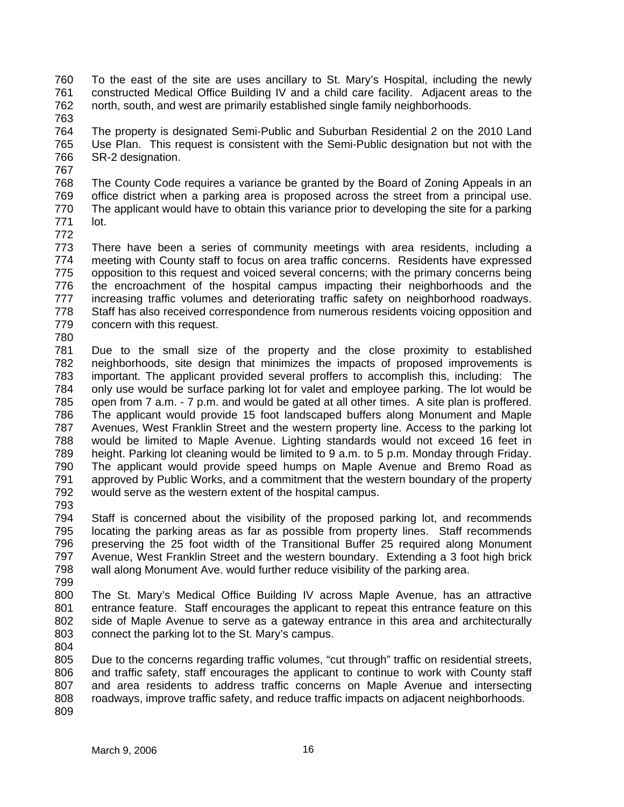760 761 762 To the east of the site are uses ancillary to St. Mary's Hospital, including the newly constructed Medical Office Building IV and a child care facility. Adjacent areas to the north, south, and west are primarily established single family neighborhoods.

763

764 765 766 The property is designated Semi-Public and Suburban Residential 2 on the 2010 Land Use Plan. This request is consistent with the Semi-Public designation but not with the SR-2 designation.

767

768 769 770 771 The County Code requires a variance be granted by the Board of Zoning Appeals in an office district when a parking area is proposed across the street from a principal use. The applicant would have to obtain this variance prior to developing the site for a parking lot.

772

773 774 775 776 777 778 779 There have been a series of community meetings with area residents, including a meeting with County staff to focus on area traffic concerns. Residents have expressed opposition to this request and voiced several concerns; with the primary concerns being the encroachment of the hospital campus impacting their neighborhoods and the increasing traffic volumes and deteriorating traffic safety on neighborhood roadways. Staff has also received correspondence from numerous residents voicing opposition and concern with this request.

780

781 782 783 784 785 786 787 788 789 790 791 792 Due to the small size of the property and the close proximity to established neighborhoods, site design that minimizes the impacts of proposed improvements is important. The applicant provided several proffers to accomplish this, including: The only use would be surface parking lot for valet and employee parking. The lot would be open from 7 a.m. - 7 p.m. and would be gated at all other times. A site plan is proffered. The applicant would provide 15 foot landscaped buffers along Monument and Maple Avenues, West Franklin Street and the western property line. Access to the parking lot would be limited to Maple Avenue. Lighting standards would not exceed 16 feet in height. Parking lot cleaning would be limited to 9 a.m. to 5 p.m. Monday through Friday. The applicant would provide speed humps on Maple Avenue and Bremo Road as approved by Public Works, and a commitment that the western boundary of the property would serve as the western extent of the hospital campus.

793

794 795 796 797 798 Staff is concerned about the visibility of the proposed parking lot, and recommends locating the parking areas as far as possible from property lines. Staff recommends preserving the 25 foot width of the Transitional Buffer 25 required along Monument Avenue, West Franklin Street and the western boundary. Extending a 3 foot high brick wall along Monument Ave. would further reduce visibility of the parking area.

799

800 801 802 803 The St. Mary's Medical Office Building IV across Maple Avenue, has an attractive entrance feature. Staff encourages the applicant to repeat this entrance feature on this side of Maple Avenue to serve as a gateway entrance in this area and architecturally connect the parking lot to the St. Mary's campus.

804

805 806 807 808 809 Due to the concerns regarding traffic volumes, "cut through" traffic on residential streets, and traffic safety, staff encourages the applicant to continue to work with County staff and area residents to address traffic concerns on Maple Avenue and intersecting roadways, improve traffic safety, and reduce traffic impacts on adjacent neighborhoods.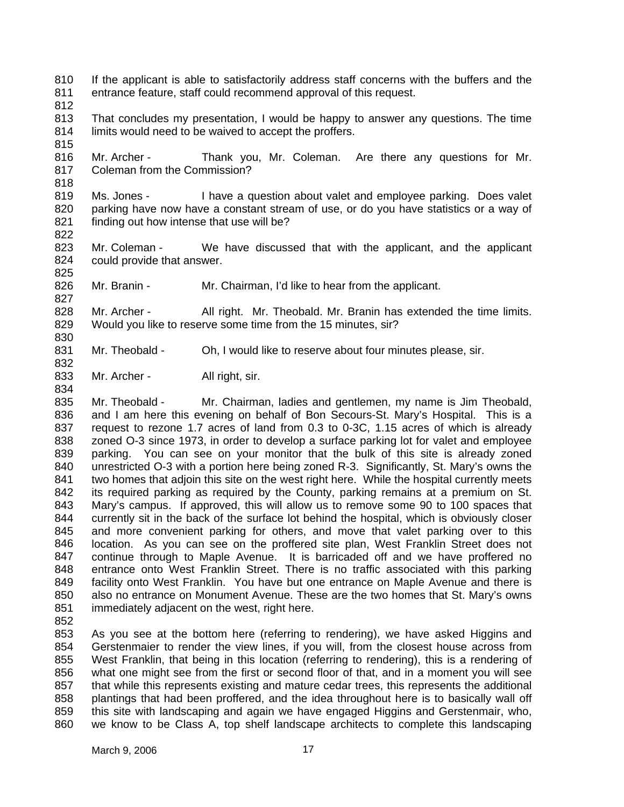- 810 811 If the applicant is able to satisfactorily address staff concerns with the buffers and the entrance feature, staff could recommend approval of this request.
- 812

815

818

822

827

830

832

- 813 814 That concludes my presentation, I would be happy to answer any questions. The time limits would need to be waived to accept the proffers.
- 816 817 Mr. Archer - Thank you, Mr. Coleman. Are there any questions for Mr. Coleman from the Commission?
- 819 820 821 Ms. Jones - I have a question about valet and employee parking. Does valet parking have now have a constant stream of use, or do you have statistics or a way of finding out how intense that use will be?
- 823 824 825 Mr. Coleman - We have discussed that with the applicant, and the applicant could provide that answer.
- 826 Mr. Branin - Mr. Chairman, I'd like to hear from the applicant.
- 828 829 Mr. Archer - All right. Mr. Theobald. Mr. Branin has extended the time limits. Would you like to reserve some time from the 15 minutes, sir?
- 831 Mr. Theobald - Oh, I would like to reserve about four minutes please, sir.
- 833 834 Mr. Archer - All right, sir.

835 836 837 838 839 840 841 842 843 844 845 846 847 848 849 850 851 Mr. Theobald - Mr. Chairman, ladies and gentlemen, my name is Jim Theobald, and I am here this evening on behalf of Bon Secours-St. Mary's Hospital. This is a request to rezone 1.7 acres of land from 0.3 to 0-3C, 1.15 acres of which is already zoned O-3 since 1973, in order to develop a surface parking lot for valet and employee parking. You can see on your monitor that the bulk of this site is already zoned unrestricted O-3 with a portion here being zoned R-3. Significantly, St. Mary's owns the two homes that adjoin this site on the west right here. While the hospital currently meets its required parking as required by the County, parking remains at a premium on St. Mary's campus. If approved, this will allow us to remove some 90 to 100 spaces that currently sit in the back of the surface lot behind the hospital, which is obviously closer and more convenient parking for others, and move that valet parking over to this location. As you can see on the proffered site plan, West Franklin Street does not continue through to Maple Avenue. It is barricaded off and we have proffered no entrance onto West Franklin Street. There is no traffic associated with this parking facility onto West Franklin. You have but one entrance on Maple Avenue and there is also no entrance on Monument Avenue. These are the two homes that St. Mary's owns immediately adjacent on the west, right here.

852

853 854 855 856 857 858 859 860 As you see at the bottom here (referring to rendering), we have asked Higgins and Gerstenmaier to render the view lines, if you will, from the closest house across from West Franklin, that being in this location (referring to rendering), this is a rendering of what one might see from the first or second floor of that, and in a moment you will see that while this represents existing and mature cedar trees, this represents the additional plantings that had been proffered, and the idea throughout here is to basically wall off this site with landscaping and again we have engaged Higgins and Gerstenmair, who, we know to be Class A, top shelf landscape architects to complete this landscaping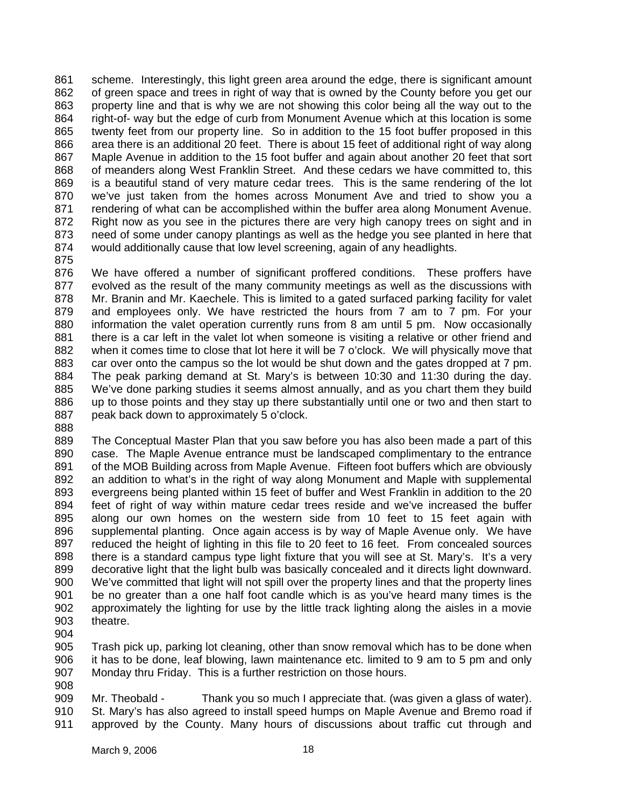861 862 863 864 865 866 867 868 869 870 871 872 873 874 scheme. Interestingly, this light green area around the edge, there is significant amount of green space and trees in right of way that is owned by the County before you get our property line and that is why we are not showing this color being all the way out to the right-of- way but the edge of curb from Monument Avenue which at this location is some twenty feet from our property line. So in addition to the 15 foot buffer proposed in this area there is an additional 20 feet. There is about 15 feet of additional right of way along Maple Avenue in addition to the 15 foot buffer and again about another 20 feet that sort of meanders along West Franklin Street. And these cedars we have committed to, this is a beautiful stand of very mature cedar trees. This is the same rendering of the lot we've just taken from the homes across Monument Ave and tried to show you a rendering of what can be accomplished within the buffer area along Monument Avenue. Right now as you see in the pictures there are very high canopy trees on sight and in need of some under canopy plantings as well as the hedge you see planted in here that would additionally cause that low level screening, again of any headlights.

875

876 877 878 879 880 881 882 883 884 885 886 887 We have offered a number of significant proffered conditions. These proffers have evolved as the result of the many community meetings as well as the discussions with Mr. Branin and Mr. Kaechele. This is limited to a gated surfaced parking facility for valet and employees only. We have restricted the hours from 7 am to 7 pm. For your information the valet operation currently runs from 8 am until 5 pm. Now occasionally there is a car left in the valet lot when someone is visiting a relative or other friend and when it comes time to close that lot here it will be 7 o'clock. We will physically move that car over onto the campus so the lot would be shut down and the gates dropped at 7 pm. The peak parking demand at St. Mary's is between 10:30 and 11:30 during the day. We've done parking studies it seems almost annually, and as you chart them they build up to those points and they stay up there substantially until one or two and then start to peak back down to approximately 5 o'clock.

888

889 890 891 892 893 894 895 896 897 898 899 900 901 902 903 The Conceptual Master Plan that you saw before you has also been made a part of this case. The Maple Avenue entrance must be landscaped complimentary to the entrance of the MOB Building across from Maple Avenue. Fifteen foot buffers which are obviously an addition to what's in the right of way along Monument and Maple with supplemental evergreens being planted within 15 feet of buffer and West Franklin in addition to the 20 feet of right of way within mature cedar trees reside and we've increased the buffer along our own homes on the western side from 10 feet to 15 feet again with supplemental planting. Once again access is by way of Maple Avenue only. We have reduced the height of lighting in this file to 20 feet to 16 feet. From concealed sources there is a standard campus type light fixture that you will see at St. Mary's. It's a very decorative light that the light bulb was basically concealed and it directs light downward. We've committed that light will not spill over the property lines and that the property lines be no greater than a one half foot candle which is as you've heard many times is the approximately the lighting for use by the little track lighting along the aisles in a movie theatre.

904

905 906 907 Trash pick up, parking lot cleaning, other than snow removal which has to be done when it has to be done, leaf blowing, lawn maintenance etc. limited to 9 am to 5 pm and only Monday thru Friday. This is a further restriction on those hours.

908

909 910 911 Mr. Theobald - Thank you so much I appreciate that. (was given a glass of water). St. Mary's has also agreed to install speed humps on Maple Avenue and Bremo road if approved by the County. Many hours of discussions about traffic cut through and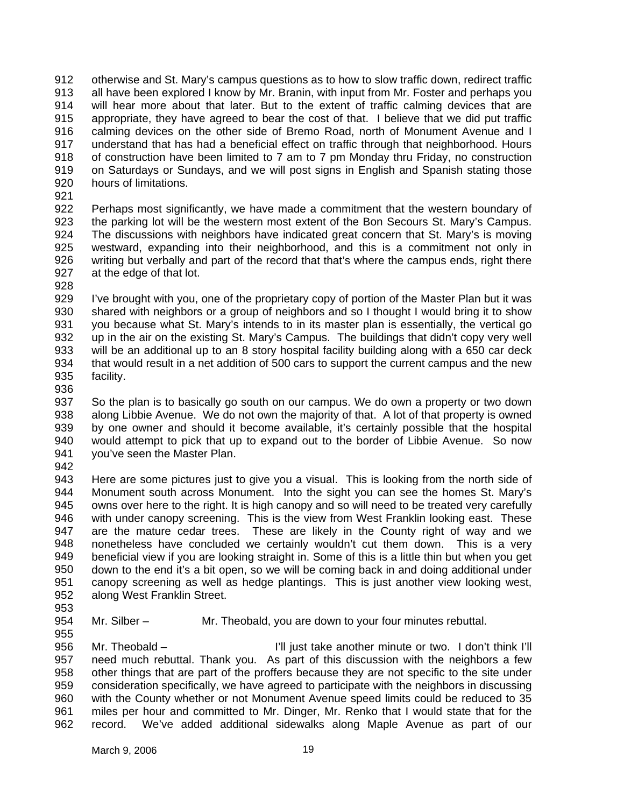912 913 914 915 916 917 918 919 920 otherwise and St. Mary's campus questions as to how to slow traffic down, redirect traffic all have been explored I know by Mr. Branin, with input from Mr. Foster and perhaps you will hear more about that later. But to the extent of traffic calming devices that are appropriate, they have agreed to bear the cost of that. I believe that we did put traffic calming devices on the other side of Bremo Road, north of Monument Avenue and I understand that has had a beneficial effect on traffic through that neighborhood. Hours of construction have been limited to 7 am to 7 pm Monday thru Friday, no construction on Saturdays or Sundays, and we will post signs in English and Spanish stating those hours of limitations.

921

922 923 924 925 926 927 Perhaps most significantly, we have made a commitment that the western boundary of the parking lot will be the western most extent of the Bon Secours St. Mary's Campus. The discussions with neighbors have indicated great concern that St. Mary's is moving westward, expanding into their neighborhood, and this is a commitment not only in writing but verbally and part of the record that that's where the campus ends, right there at the edge of that lot.

928

929 930 931 932 933 934 935 I've brought with you, one of the proprietary copy of portion of the Master Plan but it was shared with neighbors or a group of neighbors and so I thought I would bring it to show you because what St. Mary's intends to in its master plan is essentially, the vertical go up in the air on the existing St. Mary's Campus. The buildings that didn't copy very well will be an additional up to an 8 story hospital facility building along with a 650 car deck that would result in a net addition of 500 cars to support the current campus and the new facility.

936

937 938 939 940 941 So the plan is to basically go south on our campus. We do own a property or two down along Libbie Avenue. We do not own the majority of that. A lot of that property is owned by one owner and should it become available, it's certainly possible that the hospital would attempt to pick that up to expand out to the border of Libbie Avenue. So now you've seen the Master Plan.

942

943 944 945 946 947 948 949 950 951 952 Here are some pictures just to give you a visual. This is looking from the north side of Monument south across Monument. Into the sight you can see the homes St. Mary's owns over here to the right. It is high canopy and so will need to be treated very carefully with under canopy screening. This is the view from West Franklin looking east. These are the mature cedar trees. These are likely in the County right of way and we nonetheless have concluded we certainly wouldn't cut them down. This is a very beneficial view if you are looking straight in. Some of this is a little thin but when you get down to the end it's a bit open, so we will be coming back in and doing additional under canopy screening as well as hedge plantings. This is just another view looking west, along West Franklin Street.

- 953
- 954 955 Mr. Silber – Mr. Theobald, you are down to your four minutes rebuttal.

956 957 958 959 960 961 962 Mr. Theobald – Theobald – I'll just take another minute or two. I don't think I'll need much rebuttal. Thank you. As part of this discussion with the neighbors a few other things that are part of the proffers because they are not specific to the site under consideration specifically, we have agreed to participate with the neighbors in discussing with the County whether or not Monument Avenue speed limits could be reduced to 35 miles per hour and committed to Mr. Dinger, Mr. Renko that I would state that for the record. We've added additional sidewalks along Maple Avenue as part of our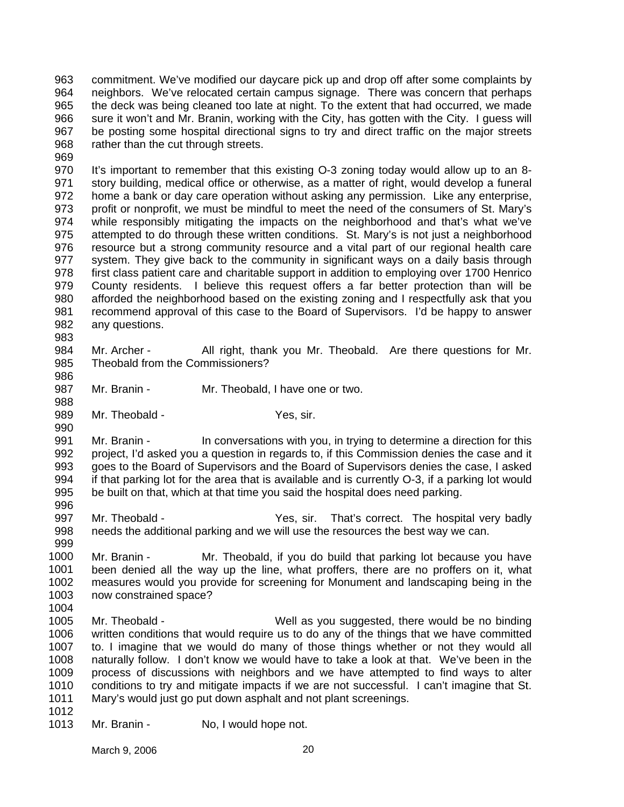963 964 965 966 967 968 commitment. We've modified our daycare pick up and drop off after some complaints by neighbors. We've relocated certain campus signage. There was concern that perhaps the deck was being cleaned too late at night. To the extent that had occurred, we made sure it won't and Mr. Branin, working with the City, has gotten with the City. I guess will be posting some hospital directional signs to try and direct traffic on the major streets rather than the cut through streets.

969

970 971 972 973 974 975 976 977 978 979 980 981 982 It's important to remember that this existing O-3 zoning today would allow up to an 8 story building, medical office or otherwise, as a matter of right, would develop a funeral home a bank or day care operation without asking any permission. Like any enterprise, profit or nonprofit, we must be mindful to meet the need of the consumers of St. Mary's while responsibly mitigating the impacts on the neighborhood and that's what we've attempted to do through these written conditions. St. Mary's is not just a neighborhood resource but a strong community resource and a vital part of our regional health care system. They give back to the community in significant ways on a daily basis through first class patient care and charitable support in addition to employing over 1700 Henrico County residents. I believe this request offers a far better protection than will be afforded the neighborhood based on the existing zoning and I respectfully ask that you recommend approval of this case to the Board of Supervisors. I'd be happy to answer any questions.

983

988

990

- 984 985 986 Mr. Archer - All right, thank you Mr. Theobald. Are there questions for Mr. Theobald from the Commissioners?
- 987 Mr. Branin - Mr. Theobald, I have one or two.
- 989 Mr. Theobald - Yes, sir.

991 992 993 994 995 996 Mr. Branin - In conversations with you, in trying to determine a direction for this project, I'd asked you a question in regards to, if this Commission denies the case and it goes to the Board of Supervisors and the Board of Supervisors denies the case, I asked if that parking lot for the area that is available and is currently O-3, if a parking lot would be built on that, which at that time you said the hospital does need parking.

- 997 998 999 Mr. Theobald - Yes, sir. That's correct. The hospital very badly needs the additional parking and we will use the resources the best way we can.
- 1000 1001 1002 1003 Mr. Branin - Mr. Theobald, if you do build that parking lot because you have been denied all the way up the line, what proffers, there are no proffers on it, what measures would you provide for screening for Monument and landscaping being in the now constrained space?
- 1005 1006 1007 1008 1009 1010 1011 Mr. Theobald - Well as you suggested, there would be no binding written conditions that would require us to do any of the things that we have committed to. I imagine that we would do many of those things whether or not they would all naturally follow. I don't know we would have to take a look at that. We've been in the process of discussions with neighbors and we have attempted to find ways to alter conditions to try and mitigate impacts if we are not successful. I can't imagine that St. Mary's would just go put down asphalt and not plant screenings.
- 1012

1004

1013 Mr. Branin - No, I would hope not.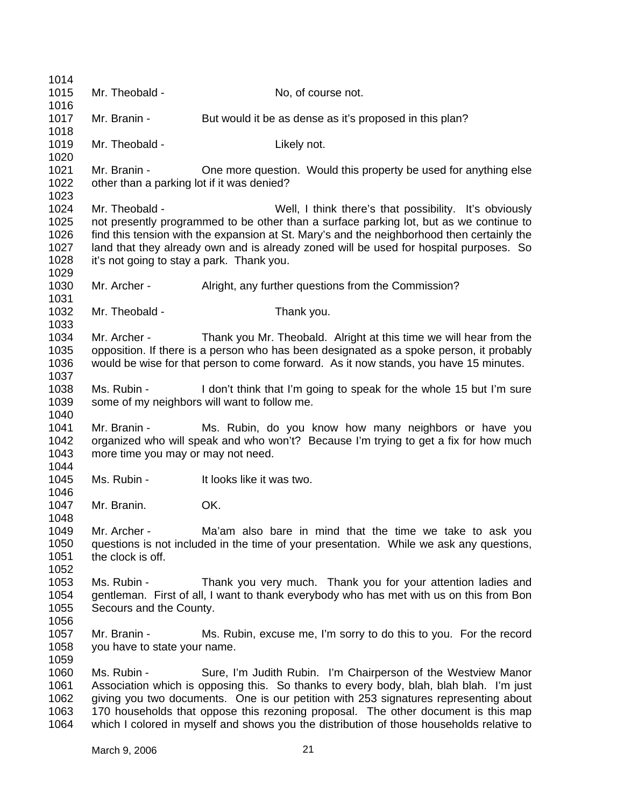1014 1015 1016 1017 1018 1019 1020 1021 1022 1023 1024 1025 1026 1027 1028 1029 1030 1031 1032 1033 1034 1035 1036 1037 1038 1039 1040 1041 1042 1043 1044 1045 1046 1047 1048 1049 1050 1051 1052 1053 1054 1055 1056 1057 1058 1059 1060 1061 1062 1063 1064 Mr. Theobald - No. of course not. Mr. Branin - But would it be as dense as it's proposed in this plan? Mr. Theobald - Likely not. Mr. Branin - One more question. Would this property be used for anything else other than a parking lot if it was denied? Mr. Theobald - Well, I think there's that possibility. It's obviously not presently programmed to be other than a surface parking lot, but as we continue to find this tension with the expansion at St. Mary's and the neighborhood then certainly the land that they already own and is already zoned will be used for hospital purposes. So it's not going to stay a park. Thank you. Mr. Archer - Alright, any further questions from the Commission? Mr. Theobald - Thank you. Mr. Archer - Thank you Mr. Theobald. Alright at this time we will hear from the opposition. If there is a person who has been designated as a spoke person, it probably would be wise for that person to come forward. As it now stands, you have 15 minutes. Ms. Rubin - I don't think that I'm going to speak for the whole 15 but I'm sure some of my neighbors will want to follow me. Mr. Branin - Ms. Rubin, do you know how many neighbors or have you organized who will speak and who won't? Because I'm trying to get a fix for how much more time you may or may not need. Ms. Rubin - It looks like it was two. Mr. Branin. OK. Mr. Archer - Ma'am also bare in mind that the time we take to ask you questions is not included in the time of your presentation. While we ask any questions, the clock is off. Ms. Rubin - Thank you very much. Thank you for your attention ladies and gentleman. First of all, I want to thank everybody who has met with us on this from Bon Secours and the County. Mr. Branin - Ms. Rubin, excuse me, I'm sorry to do this to you. For the record you have to state your name. Ms. Rubin - Sure, I'm Judith Rubin. I'm Chairperson of the Westview Manor Association which is opposing this. So thanks to every body, blah, blah blah. I'm just giving you two documents. One is our petition with 253 signatures representing about 170 households that oppose this rezoning proposal. The other document is this map which I colored in myself and shows you the distribution of those households relative to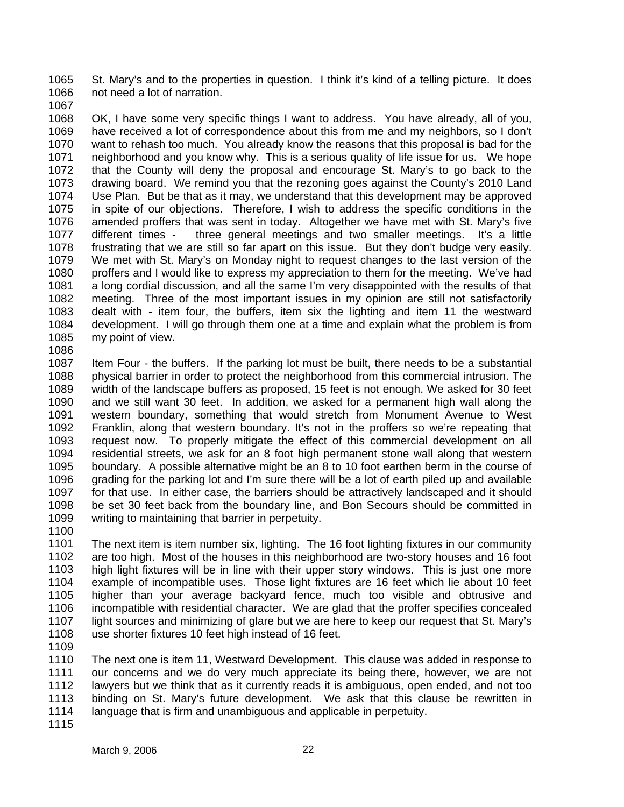1065 1066 St. Mary's and to the properties in question. I think it's kind of a telling picture. It does not need a lot of narration.

1067

1068 1069 1070 1071 1072 1073 1074 1075 1076 1077 1078 1079 1080 1081 1082 1083 1084 1085 1086 OK, I have some very specific things I want to address. You have already, all of you, have received a lot of correspondence about this from me and my neighbors, so I don't want to rehash too much. You already know the reasons that this proposal is bad for the neighborhood and you know why. This is a serious quality of life issue for us. We hope that the County will deny the proposal and encourage St. Mary's to go back to the drawing board. We remind you that the rezoning goes against the County's 2010 Land Use Plan. But be that as it may, we understand that this development may be approved in spite of our objections. Therefore, I wish to address the specific conditions in the amended proffers that was sent in today. Altogether we have met with St. Mary's five different times - three general meetings and two smaller meetings. It's a little frustrating that we are still so far apart on this issue. But they don't budge very easily. We met with St. Mary's on Monday night to request changes to the last version of the proffers and I would like to express my appreciation to them for the meeting. We've had a long cordial discussion, and all the same I'm very disappointed with the results of that meeting. Three of the most important issues in my opinion are still not satisfactorily dealt with - item four, the buffers, item six the lighting and item 11 the westward development. I will go through them one at a time and explain what the problem is from my point of view.

1087 1088 1089 1090 1091 1092 1093 1094 1095 1096 1097 1098 1099 Item Four - the buffers. If the parking lot must be built, there needs to be a substantial physical barrier in order to protect the neighborhood from this commercial intrusion. The width of the landscape buffers as proposed, 15 feet is not enough. We asked for 30 feet and we still want 30 feet. In addition, we asked for a permanent high wall along the western boundary, something that would stretch from Monument Avenue to West Franklin, along that western boundary. It's not in the proffers so we're repeating that request now. To properly mitigate the effect of this commercial development on all residential streets, we ask for an 8 foot high permanent stone wall along that western boundary. A possible alternative might be an 8 to 10 foot earthen berm in the course of grading for the parking lot and I'm sure there will be a lot of earth piled up and available for that use. In either case, the barriers should be attractively landscaped and it should be set 30 feet back from the boundary line, and Bon Secours should be committed in writing to maintaining that barrier in perpetuity.

1100

1101 1102 1103 1104 1105 1106 1107 1108 The next item is item number six, lighting. The 16 foot lighting fixtures in our community are too high. Most of the houses in this neighborhood are two-story houses and 16 foot high light fixtures will be in line with their upper story windows. This is just one more example of incompatible uses. Those light fixtures are 16 feet which lie about 10 feet higher than your average backyard fence, much too visible and obtrusive and incompatible with residential character. We are glad that the proffer specifies concealed light sources and minimizing of glare but we are here to keep our request that St. Mary's use shorter fixtures 10 feet high instead of 16 feet.

1109

1110 1111 1112 1113 1114 The next one is item 11, Westward Development. This clause was added in response to our concerns and we do very much appreciate its being there, however, we are not lawyers but we think that as it currently reads it is ambiguous, open ended, and not too binding on St. Mary's future development. We ask that this clause be rewritten in language that is firm and unambiguous and applicable in perpetuity.

1115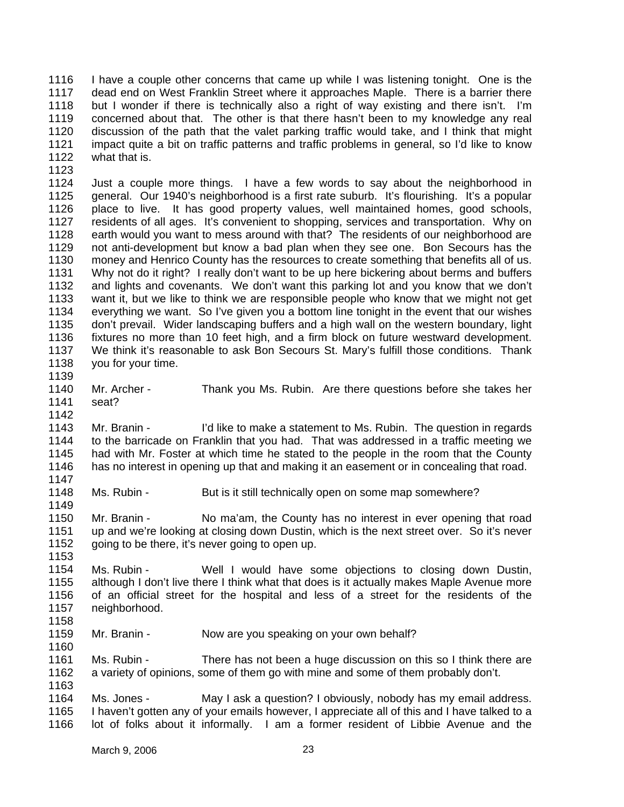1116 1117 1118 1119 1120 1121 1122 I have a couple other concerns that came up while I was listening tonight. One is the dead end on West Franklin Street where it approaches Maple. There is a barrier there but I wonder if there is technically also a right of way existing and there isn't. I'm concerned about that. The other is that there hasn't been to my knowledge any real discussion of the path that the valet parking traffic would take, and I think that might impact quite a bit on traffic patterns and traffic problems in general, so I'd like to know what that is.

1124 1125 1126 1127 1128 1129 1130 1131 1132 1133 1134 1135 1136 1137 1138 1139 Just a couple more things. I have a few words to say about the neighborhood in general. Our 1940's neighborhood is a first rate suburb. It's flourishing. It's a popular place to live. It has good property values, well maintained homes, good schools, residents of all ages. It's convenient to shopping, services and transportation. Why on earth would you want to mess around with that? The residents of our neighborhood are not anti-development but know a bad plan when they see one. Bon Secours has the money and Henrico County has the resources to create something that benefits all of us. Why not do it right? I really don't want to be up here bickering about berms and buffers and lights and covenants. We don't want this parking lot and you know that we don't want it, but we like to think we are responsible people who know that we might not get everything we want. So I've given you a bottom line tonight in the event that our wishes don't prevail. Wider landscaping buffers and a high wall on the western boundary, light fixtures no more than 10 feet high, and a firm block on future westward development. We think it's reasonable to ask Bon Secours St. Mary's fulfill those conditions. Thank you for your time.

1140 1141 Mr. Archer - Thank you Ms. Rubin. Are there questions before she takes her seat?

1143 1144 1145 1146 1147 Mr. Branin - I'd like to make a statement to Ms. Rubin. The question in regards to the barricade on Franklin that you had. That was addressed in a traffic meeting we had with Mr. Foster at which time he stated to the people in the room that the County has no interest in opening up that and making it an easement or in concealing that road.

1148 Ms. Rubin - But is it still technically open on some map somewhere?

1150 1151 1152 Mr. Branin - No ma'am, the County has no interest in ever opening that road up and we're looking at closing down Dustin, which is the next street over. So it's never going to be there, it's never going to open up.

1154 1155 1156 1157 1158 Ms. Rubin - Well I would have some objections to closing down Dustin, although I don't live there I think what that does is it actually makes Maple Avenue more of an official street for the hospital and less of a street for the residents of the neighborhood.

1159 Mr. Branin - Now are you speaking on your own behalf?

1161 1162 1163 Ms. Rubin - There has not been a huge discussion on this so I think there are a variety of opinions, some of them go with mine and some of them probably don't.

1164 1165 1166 Ms. Jones - May I ask a question? I obviously, nobody has my email address. I haven't gotten any of your emails however, I appreciate all of this and I have talked to a lot of folks about it informally. I am a former resident of Libbie Avenue and the

1123

1142

1149

1153

1160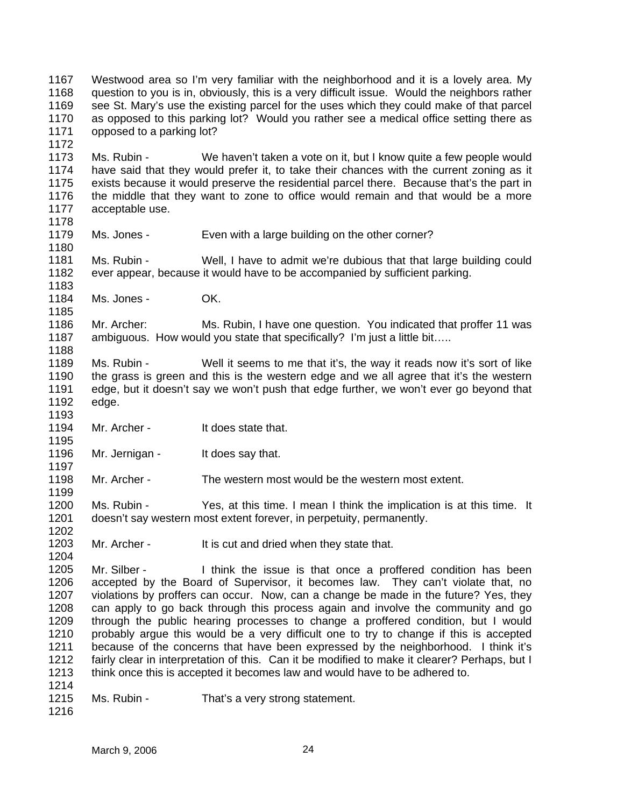1167 1168 1169 1170 1171 Westwood area so I'm very familiar with the neighborhood and it is a lovely area. My question to you is in, obviously, this is a very difficult issue. Would the neighbors rather see St. Mary's use the existing parcel for the uses which they could make of that parcel as opposed to this parking lot? Would you rather see a medical office setting there as opposed to a parking lot?

1173 1174 1175 1176 1177 Ms. Rubin - We haven't taken a vote on it, but I know quite a few people would have said that they would prefer it, to take their chances with the current zoning as it exists because it would preserve the residential parcel there. Because that's the part in the middle that they want to zone to office would remain and that would be a more acceptable use.

1178

1185

1188

1193

1195

1197

1199

1202

1204

1172

1179 1180 Ms. Jones - Even with a large building on the other corner?

1181 1182 1183 Ms. Rubin - Well, I have to admit we're dubious that that large building could ever appear, because it would have to be accompanied by sufficient parking.

1184 Ms. Jones - **OK.** 

1186 1187 Mr. Archer: Ms. Rubin, I have one question. You indicated that proffer 11 was ambiguous. How would you state that specifically? I'm just a little bit…..

- 1189 1190 1191 1192 Ms. Rubin - Well it seems to me that it's, the way it reads now it's sort of like the grass is green and this is the western edge and we all agree that it's the western edge, but it doesn't say we won't push that edge further, we won't ever go beyond that edge.
- 1194 Mr. Archer - It does state that.

1196 Mr. Jernigan - It does say that.

1198 Mr. Archer - The western most would be the western most extent.

1200 1201 Ms. Rubin - Yes, at this time. I mean I think the implication is at this time. It doesn't say western most extent forever, in perpetuity, permanently.

1203 Mr. Archer - It is cut and dried when they state that.

1205 1206 1207 1208 1209 1210 1211 1212 1213 1214 Mr. Silber - I think the issue is that once a proffered condition has been accepted by the Board of Supervisor, it becomes law. They can't violate that, no violations by proffers can occur. Now, can a change be made in the future? Yes, they can apply to go back through this process again and involve the community and go through the public hearing processes to change a proffered condition, but I would probably argue this would be a very difficult one to try to change if this is accepted because of the concerns that have been expressed by the neighborhood. I think it's fairly clear in interpretation of this. Can it be modified to make it clearer? Perhaps, but I think once this is accepted it becomes law and would have to be adhered to.

- 1215 Ms. Rubin - That's a very strong statement.
- 1216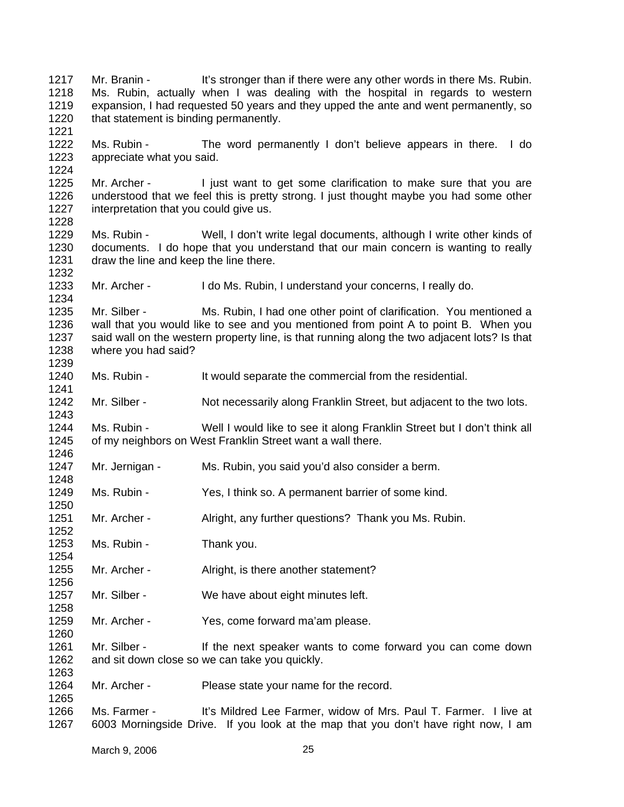1217 1218 1219 1220 1221 1222 1223 1224 1225 1226 1227 1228 1229 1230 1231 1232 1233 1234 1235 1236 1237 1238 1239 1240 1241 1242 1243 1244 1245 1246 1247 1248 1249 1250 1251 1252 1253 1254 1255 1256 1257 1258 1259 1260 1261 1262 1263 1264 1265 1266 1267 Mr. Branin - It's stronger than if there were any other words in there Ms. Rubin. Ms. Rubin, actually when I was dealing with the hospital in regards to western expansion, I had requested 50 years and they upped the ante and went permanently, so that statement is binding permanently. Ms. Rubin - The word permanently I don't believe appears in there. I do appreciate what you said. Mr. Archer - I just want to get some clarification to make sure that you are understood that we feel this is pretty strong. I just thought maybe you had some other interpretation that you could give us. Ms. Rubin - Well, I don't write legal documents, although I write other kinds of documents. I do hope that you understand that our main concern is wanting to really draw the line and keep the line there. Mr. Archer - I do Ms. Rubin, I understand your concerns, I really do. Mr. Silber - Ms. Rubin, I had one other point of clarification. You mentioned a wall that you would like to see and you mentioned from point A to point B. When you said wall on the western property line, is that running along the two adjacent lots? Is that where you had said? Ms. Rubin - It would separate the commercial from the residential. Mr. Silber - Not necessarily along Franklin Street, but adjacent to the two lots. Ms. Rubin - Well I would like to see it along Franklin Street but I don't think all of my neighbors on West Franklin Street want a wall there. Mr. Jernigan - Ms. Rubin, you said you'd also consider a berm. Ms. Rubin - Yes, I think so. A permanent barrier of some kind. Mr. Archer - Alright, any further questions? Thank you Ms. Rubin. Ms. Rubin - Thank you. Mr. Archer - Alright, is there another statement? Mr. Silber - We have about eight minutes left. Mr. Archer - Yes, come forward ma'am please. Mr. Silber - If the next speaker wants to come forward you can come down and sit down close so we can take you quickly. Mr. Archer - Please state your name for the record. Ms. Farmer - It's Mildred Lee Farmer, widow of Mrs. Paul T. Farmer. I live at 6003 Morningside Drive. If you look at the map that you don't have right now, I am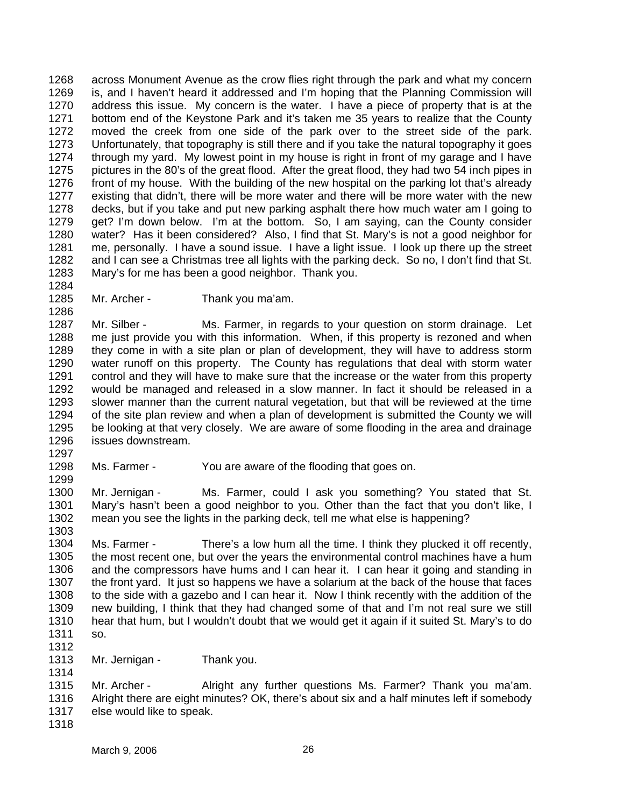1268 1269 1270 1271 1272 1273 1274 1275 1276 1277 1278 1279 1280 1281 1282 1283 1284 across Monument Avenue as the crow flies right through the park and what my concern is, and I haven't heard it addressed and I'm hoping that the Planning Commission will address this issue. My concern is the water. I have a piece of property that is at the bottom end of the Keystone Park and it's taken me 35 years to realize that the County moved the creek from one side of the park over to the street side of the park. Unfortunately, that topography is still there and if you take the natural topography it goes through my yard. My lowest point in my house is right in front of my garage and I have pictures in the 80's of the great flood. After the great flood, they had two 54 inch pipes in front of my house. With the building of the new hospital on the parking lot that's already existing that didn't, there will be more water and there will be more water with the new decks, but if you take and put new parking asphalt there how much water am I going to get? I'm down below. I'm at the bottom. So, I am saying, can the County consider water? Has it been considered? Also, I find that St. Mary's is not a good neighbor for me, personally. I have a sound issue. I have a light issue. I look up there up the street and I can see a Christmas tree all lights with the parking deck. So no, I don't find that St. Mary's for me has been a good neighbor. Thank you.

1285 Mr. Archer - Thank you ma'am.

1287 1288 1289 1290 1291 1292 1293 1294 1295 1296 Mr. Silber - Ms. Farmer, in regards to your question on storm drainage. Let me just provide you with this information. When, if this property is rezoned and when they come in with a site plan or plan of development, they will have to address storm water runoff on this property. The County has regulations that deal with storm water control and they will have to make sure that the increase or the water from this property would be managed and released in a slow manner. In fact it should be released in a slower manner than the current natural vegetation, but that will be reviewed at the time of the site plan review and when a plan of development is submitted the County we will be looking at that very closely. We are aware of some flooding in the area and drainage issues downstream.

1298 Ms. Farmer - You are aware of the flooding that goes on.

1300 1301 1302 1303 Mr. Jernigan - Ms. Farmer, could I ask you something? You stated that St. Mary's hasn't been a good neighbor to you. Other than the fact that you don't like, I mean you see the lights in the parking deck, tell me what else is happening?

1304 1305 1306 1307 1308 1309 1310 1311 Ms. Farmer - There's a low hum all the time. I think they plucked it off recently, the most recent one, but over the years the environmental control machines have a hum and the compressors have hums and I can hear it. I can hear it going and standing in the front yard. It just so happens we have a solarium at the back of the house that faces to the side with a gazebo and I can hear it. Now I think recently with the addition of the new building, I think that they had changed some of that and I'm not real sure we still hear that hum, but I wouldn't doubt that we would get it again if it suited St. Mary's to do so.

1312

1286

1297

1299

1313 1314 Mr. Jernigan - Thank you.

1315 1316 1317 Mr. Archer - Alright any further questions Ms. Farmer? Thank you ma'am. Alright there are eight minutes? OK, there's about six and a half minutes left if somebody else would like to speak.

1318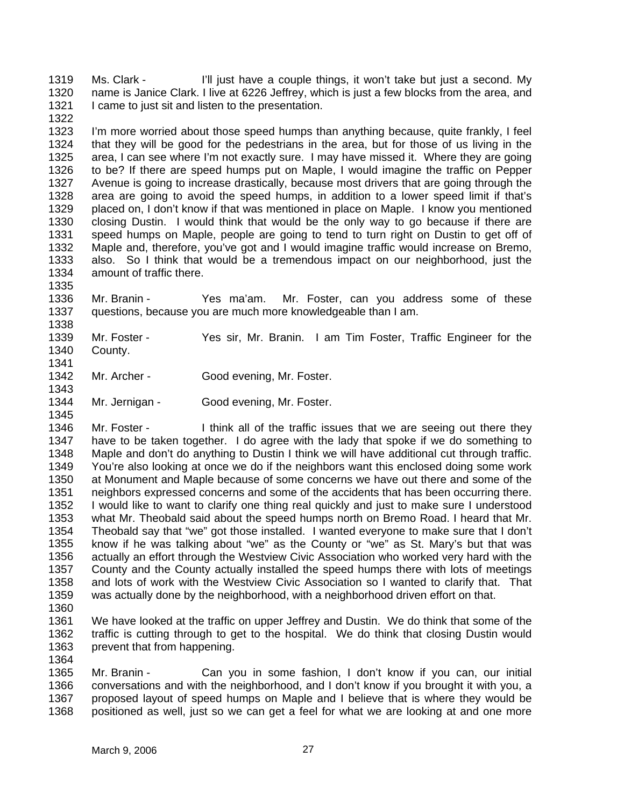1319 1320 1321 1322 Ms. Clark - I'll just have a couple things, it won't take but just a second. My name is Janice Clark. I live at 6226 Jeffrey, which is just a few blocks from the area, and I came to just sit and listen to the presentation.

1323 1324 1325 1326 1327 1328 1329 1330 1331 1332 1333 1334 I'm more worried about those speed humps than anything because, quite frankly, I feel that they will be good for the pedestrians in the area, but for those of us living in the area, I can see where I'm not exactly sure. I may have missed it. Where they are going to be? If there are speed humps put on Maple, I would imagine the traffic on Pepper Avenue is going to increase drastically, because most drivers that are going through the area are going to avoid the speed humps, in addition to a lower speed limit if that's placed on, I don't know if that was mentioned in place on Maple. I know you mentioned closing Dustin. I would think that would be the only way to go because if there are speed humps on Maple, people are going to tend to turn right on Dustin to get off of Maple and, therefore, you've got and I would imagine traffic would increase on Bremo, also. So I think that would be a tremendous impact on our neighborhood, just the amount of traffic there.

1336 1337 Mr. Branin - Yes ma'am. Mr. Foster, can you address some of these questions, because you are much more knowledgeable than I am.

- 1339 1340 Mr. Foster - Yes sir, Mr. Branin. I am Tim Foster, Traffic Engineer for the County.
- 1342 1343 Mr. Archer - Good evening, Mr. Foster.
- 1344 Mr. Jernigan - Good evening, Mr. Foster.

1346 1347 1348 1349 1350 1351 1352 1353 1354 1355 1356 1357 1358 1359 Mr. Foster - I think all of the traffic issues that we are seeing out there they have to be taken together. I do agree with the lady that spoke if we do something to Maple and don't do anything to Dustin I think we will have additional cut through traffic. You're also looking at once we do if the neighbors want this enclosed doing some work at Monument and Maple because of some concerns we have out there and some of the neighbors expressed concerns and some of the accidents that has been occurring there. I would like to want to clarify one thing real quickly and just to make sure I understood what Mr. Theobald said about the speed humps north on Bremo Road. I heard that Mr. Theobald say that "we" got those installed. I wanted everyone to make sure that I don't know if he was talking about "we" as the County or "we" as St. Mary's but that was actually an effort through the Westview Civic Association who worked very hard with the County and the County actually installed the speed humps there with lots of meetings and lots of work with the Westview Civic Association so I wanted to clarify that. That was actually done by the neighborhood, with a neighborhood driven effort on that.

1360

1364

1335

1338

1341

1345

1361 1362 1363 We have looked at the traffic on upper Jeffrey and Dustin. We do think that some of the traffic is cutting through to get to the hospital. We do think that closing Dustin would prevent that from happening.

1365 1366 1367 1368 Mr. Branin - Can you in some fashion, I don't know if you can, our initial conversations and with the neighborhood, and I don't know if you brought it with you, a proposed layout of speed humps on Maple and I believe that is where they would be positioned as well, just so we can get a feel for what we are looking at and one more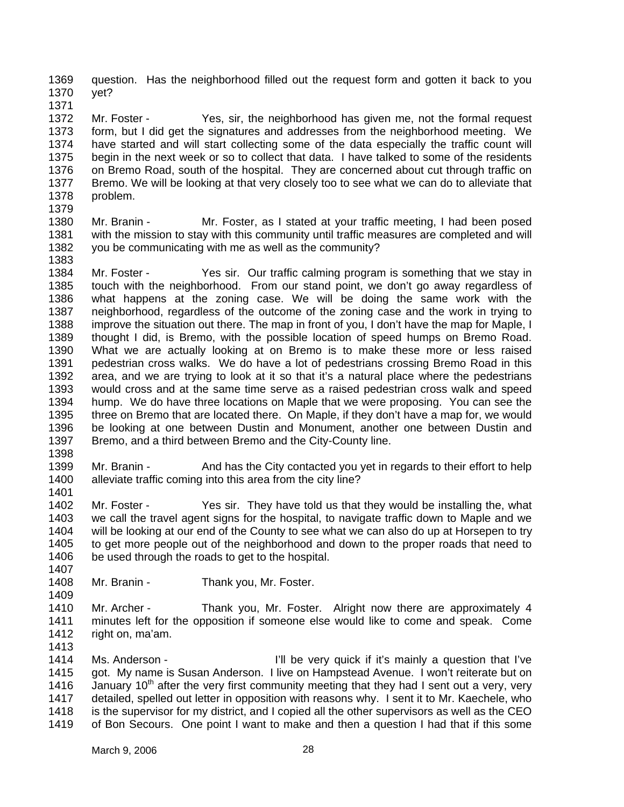1369 1370 question. Has the neighborhood filled out the request form and gotten it back to you yet?

1371

1372 1373 1374 1375 1376 1377 1378 Mr. Foster - Yes, sir, the neighborhood has given me, not the formal request form, but I did get the signatures and addresses from the neighborhood meeting. We have started and will start collecting some of the data especially the traffic count will begin in the next week or so to collect that data. I have talked to some of the residents on Bremo Road, south of the hospital. They are concerned about cut through traffic on Bremo. We will be looking at that very closely too to see what we can do to alleviate that problem.

1379 1380 1381 1382 1383 Mr. Branin - Mr. Foster, as I stated at your traffic meeting, I had been posed with the mission to stay with this community until traffic measures are completed and will you be communicating with me as well as the community?

1384 1385 1386 1387 1388 1389 1390 1391 1392 1393 1394 1395 1396 1397 Mr. Foster - Yes sir. Our traffic calming program is something that we stay in touch with the neighborhood. From our stand point, we don't go away regardless of what happens at the zoning case. We will be doing the same work with the neighborhood, regardless of the outcome of the zoning case and the work in trying to improve the situation out there. The map in front of you, I don't have the map for Maple, I thought I did, is Bremo, with the possible location of speed humps on Bremo Road. What we are actually looking at on Bremo is to make these more or less raised pedestrian cross walks. We do have a lot of pedestrians crossing Bremo Road in this area, and we are trying to look at it so that it's a natural place where the pedestrians would cross and at the same time serve as a raised pedestrian cross walk and speed hump. We do have three locations on Maple that we were proposing. You can see the three on Bremo that are located there. On Maple, if they don't have a map for, we would be looking at one between Dustin and Monument, another one between Dustin and Bremo, and a third between Bremo and the City-County line.

1398

1399 1400 Mr. Branin - And has the City contacted you yet in regards to their effort to help alleviate traffic coming into this area from the city line?

1401

1402 1403 1404 1405 1406 1407 Mr. Foster - Yes sir. They have told us that they would be installing the, what we call the travel agent signs for the hospital, to navigate traffic down to Maple and we will be looking at our end of the County to see what we can also do up at Horsepen to try to get more people out of the neighborhood and down to the proper roads that need to be used through the roads to get to the hospital.

1408 1409 Mr. Branin - Thank you, Mr. Foster.

1410 1411 1412 Mr. Archer - Thank you, Mr. Foster. Alright now there are approximately 4 minutes left for the opposition if someone else would like to come and speak. Come right on, ma'am.

1413

1414 1415 1416 1417 1418 1419 Ms. Anderson - Till be very quick if it's mainly a question that I've got. My name is Susan Anderson. I live on Hampstead Avenue. I won't reiterate but on January  $10<sup>th</sup>$  after the very first community meeting that they had I sent out a very, very detailed, spelled out letter in opposition with reasons why. I sent it to Mr. Kaechele, who is the supervisor for my district, and I copied all the other supervisors as well as the CEO of Bon Secours. One point I want to make and then a question I had that if this some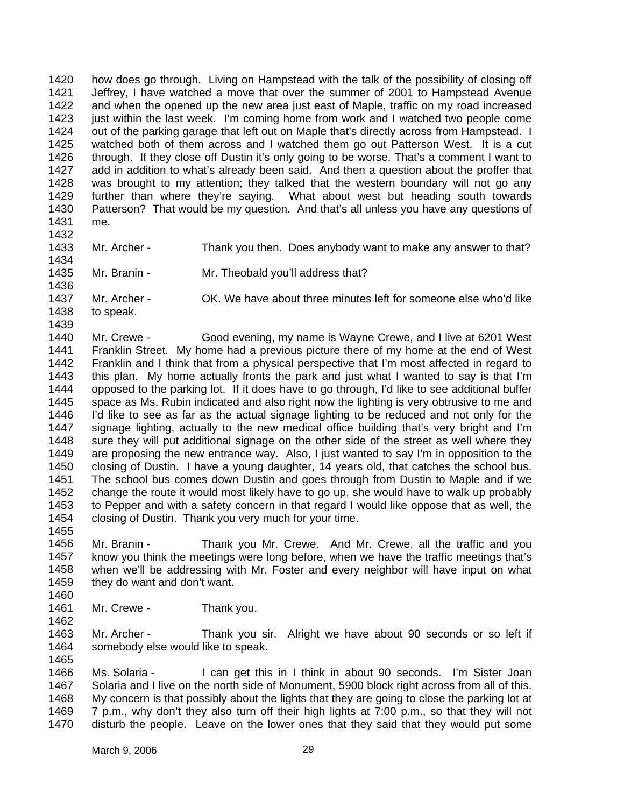1420 1421 1422 1423 1424 1425 1426 1427 1428 1429 1430 1431 how does go through. Living on Hampstead with the talk of the possibility of closing off Jeffrey, I have watched a move that over the summer of 2001 to Hampstead Avenue and when the opened up the new area just east of Maple, traffic on my road increased just within the last week. I'm coming home from work and I watched two people come out of the parking garage that left out on Maple that's directly across from Hampstead. I watched both of them across and I watched them go out Patterson West. It is a cut through. If they close off Dustin it's only going to be worse. That's a comment I want to add in addition to what's already been said. And then a question about the proffer that was brought to my attention; they talked that the western boundary will not go any further than where they're saying. What about west but heading south towards Patterson? That would be my question. And that's all unless you have any questions of me.

Mr. Archer - Thank you then. Does anybody want to make any answer to that?

- 1432
- 1433
- 1434 1435
- 1436
- 1437 Mr. Archer - OK. We have about three minutes left for someone else who'd like

Mr. Branin - Mr. Theobald you'll address that?

1438

to speak.

1439

1440 1441 1442 1443 1444 1445 1446 1447 1448 1449 1450 1451 1452 1453 1454 Mr. Crewe - Good evening, my name is Wayne Crewe, and I live at 6201 West Franklin Street. My home had a previous picture there of my home at the end of West Franklin and I think that from a physical perspective that I'm most affected in regard to this plan. My home actually fronts the park and just what I wanted to say is that I'm opposed to the parking lot. If it does have to go through, I'd like to see additional buffer space as Ms. Rubin indicated and also right now the lighting is very obtrusive to me and I'd like to see as far as the actual signage lighting to be reduced and not only for the signage lighting, actually to the new medical office building that's very bright and I'm sure they will put additional signage on the other side of the street as well where they are proposing the new entrance way. Also, I just wanted to say I'm in opposition to the closing of Dustin. I have a young daughter, 14 years old, that catches the school bus. The school bus comes down Dustin and goes through from Dustin to Maple and if we change the route it would most likely have to go up, she would have to walk up probably to Pepper and with a safety concern in that regard I would like oppose that as well, the closing of Dustin. Thank you very much for your time.

1456 1457 1458 1459 Mr. Branin - Thank you Mr. Crewe. And Mr. Crewe, all the traffic and you know you think the meetings were long before, when we have the traffic meetings that's when we'll be addressing with Mr. Foster and every neighbor will have input on what they do want and don't want.

1460 1461

1455

- Mr. Crewe Thank you.
- 1462

1463 1464 1465 Mr. Archer - Thank you sir. Alright we have about 90 seconds or so left if somebody else would like to speak.

1466 1467 1468 1469 1470 Ms. Solaria - I can get this in I think in about 90 seconds. I'm Sister Joan Solaria and I live on the north side of Monument, 5900 block right across from all of this. My concern is that possibly about the lights that they are going to close the parking lot at 7 p.m., why don't they also turn off their high lights at 7:00 p.m., so that they will not disturb the people. Leave on the lower ones that they said that they would put some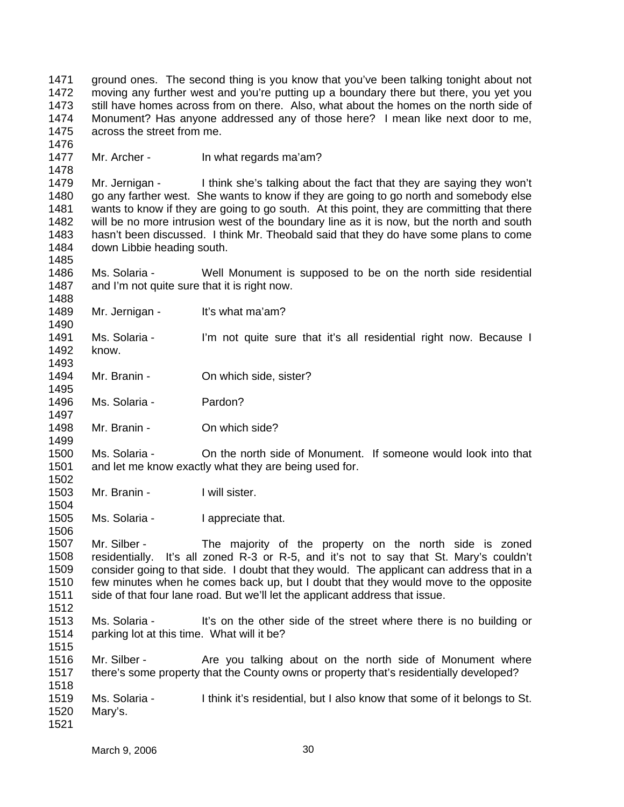1471 1472 1473 1474 1475 ground ones. The second thing is you know that you've been talking tonight about not moving any further west and you're putting up a boundary there but there, you yet you still have homes across from on there. Also, what about the homes on the north side of Monument? Has anyone addressed any of those here? I mean like next door to me, across the street from me.

1476 1477

1478

1485

1488

1490

1493

1495

1497

1499

1502

1504

1506

Mr. Archer - In what regards ma'am?

1479 1480 1481 1482 1483 1484 Mr. Jernigan - I think she's talking about the fact that they are saying they won't go any farther west. She wants to know if they are going to go north and somebody else wants to know if they are going to go south. At this point, they are committing that there will be no more intrusion west of the boundary line as it is now, but the north and south hasn't been discussed. I think Mr. Theobald said that they do have some plans to come down Libbie heading south.

1486 1487 Ms. Solaria - Well Monument is supposed to be on the north side residential and I'm not quite sure that it is right now.

1489 Mr. Jernigan - It's what ma'am?

1491 1492 Ms. Solaria - I'm not quite sure that it's all residential right now. Because I know.

1494 Mr. Branin - **On which side, sister?** 

1496 Ms. Solaria - Pardon?

1498 Mr. Branin - On which side?

1500 1501 Ms. Solaria - On the north side of Monument. If someone would look into that and let me know exactly what they are being used for.

- 1503 Mr. Branin - Twill sister.
- 1505 Ms. Solaria - I appreciate that.

1507 1508 1509 1510 1511 Mr. Silber - The majority of the property on the north side is zoned residentially. It's all zoned R-3 or R-5, and it's not to say that St. Mary's couldn't consider going to that side. I doubt that they would. The applicant can address that in a few minutes when he comes back up, but I doubt that they would move to the opposite side of that four lane road. But we'll let the applicant address that issue.

1512

1513 1514 Ms. Solaria - It's on the other side of the street where there is no building or parking lot at this time. What will it be?

1515

1516 1517 1518 Mr. Silber - The you talking about on the north side of Monument where there's some property that the County owns or property that's residentially developed?

1519 1520 1521 Ms. Solaria - I think it's residential, but I also know that some of it belongs to St. Mary's.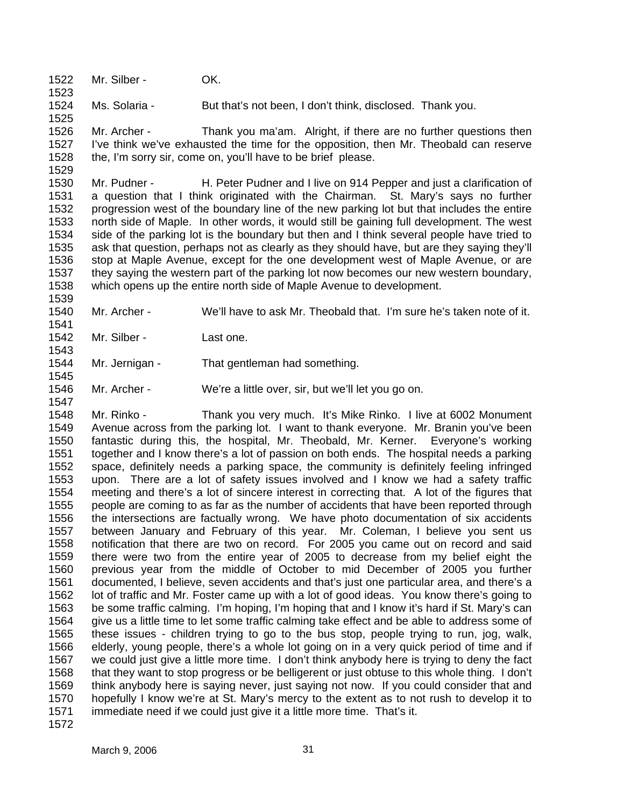1522 Mr. Silber - OK.

1523

1525

1529

1539

1541

1543

1545

1547

1524 Ms. Solaria - But that's not been, I don't think, disclosed. Thank you.

1526 1527 1528 Mr. Archer - Thank you ma'am. Alright, if there are no further questions then I've think we've exhausted the time for the opposition, then Mr. Theobald can reserve the, I'm sorry sir, come on, you'll have to be brief please.

1530 1531 1532 1533 1534 1535 1536 1537 1538 Mr. Pudner - H. Peter Pudner and I live on 914 Pepper and just a clarification of a question that I think originated with the Chairman. St. Mary's says no further progression west of the boundary line of the new parking lot but that includes the entire north side of Maple. In other words, it would still be gaining full development. The west side of the parking lot is the boundary but then and I think several people have tried to ask that question, perhaps not as clearly as they should have, but are they saying they'll stop at Maple Avenue, except for the one development west of Maple Avenue, or are they saying the western part of the parking lot now becomes our new western boundary, which opens up the entire north side of Maple Avenue to development.

- 1540 Mr. Archer - We'll have to ask Mr. Theobald that. I'm sure he's taken note of it.
- 1542 Mr. Silber - Last one.
- 1544 Mr. Jernigan - That gentleman had something.
- 1546 Mr. Archer - We're a little over, sir, but we'll let you go on.

1548 1549 1550 1551 1552 1553 1554 1555 1556 1557 1558 1559 1560 1561 1562 1563 1564 1565 1566 1567 1568 1569 1570 1571 1572 Mr. Rinko - Thank you very much. It's Mike Rinko. I live at 6002 Monument Avenue across from the parking lot. I want to thank everyone. Mr. Branin you've been fantastic during this, the hospital, Mr. Theobald, Mr. Kerner. Everyone's working together and I know there's a lot of passion on both ends. The hospital needs a parking space, definitely needs a parking space, the community is definitely feeling infringed upon. There are a lot of safety issues involved and I know we had a safety traffic meeting and there's a lot of sincere interest in correcting that. A lot of the figures that people are coming to as far as the number of accidents that have been reported through the intersections are factually wrong. We have photo documentation of six accidents between January and February of this year. Mr. Coleman, I believe you sent us notification that there are two on record. For 2005 you came out on record and said there were two from the entire year of 2005 to decrease from my belief eight the previous year from the middle of October to mid December of 2005 you further documented, I believe, seven accidents and that's just one particular area, and there's a lot of traffic and Mr. Foster came up with a lot of good ideas. You know there's going to be some traffic calming. I'm hoping, I'm hoping that and I know it's hard if St. Mary's can give us a little time to let some traffic calming take effect and be able to address some of these issues - children trying to go to the bus stop, people trying to run, jog, walk, elderly, young people, there's a whole lot going on in a very quick period of time and if we could just give a little more time. I don't think anybody here is trying to deny the fact that they want to stop progress or be belligerent or just obtuse to this whole thing. I don't think anybody here is saying never, just saying not now. If you could consider that and hopefully I know we're at St. Mary's mercy to the extent as to not rush to develop it to immediate need if we could just give it a little more time. That's it.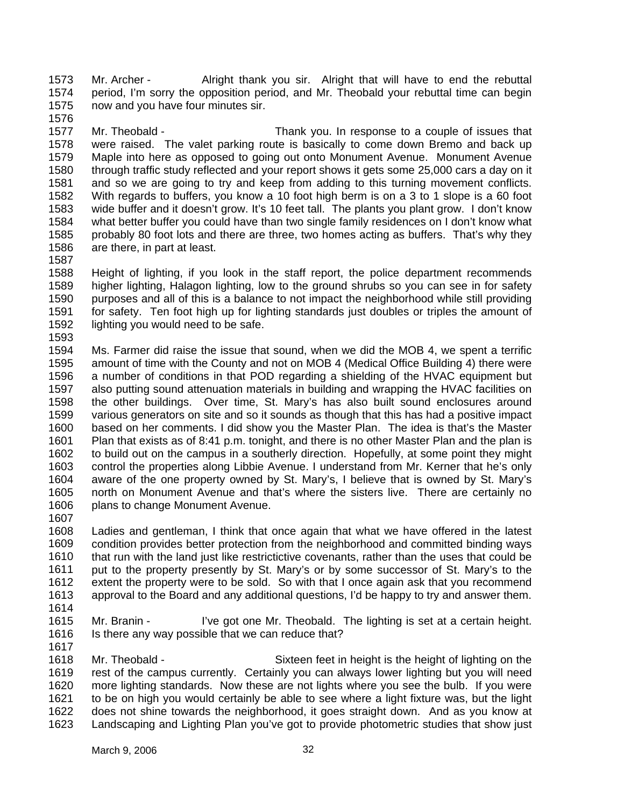1573 1574 1575 1576 Mr. Archer - Alright thank you sir. Alright that will have to end the rebuttal period, I'm sorry the opposition period, and Mr. Theobald your rebuttal time can begin now and you have four minutes sir.

1577 1578 1579 1580 1581 1582 1583 1584 1585 1586 Mr. Theobald - Thank you. In response to a couple of issues that were raised. The valet parking route is basically to come down Bremo and back up Maple into here as opposed to going out onto Monument Avenue. Monument Avenue through traffic study reflected and your report shows it gets some 25,000 cars a day on it and so we are going to try and keep from adding to this turning movement conflicts. With regards to buffers, you know a 10 foot high berm is on a 3 to 1 slope is a 60 foot wide buffer and it doesn't grow. It's 10 feet tall. The plants you plant grow. I don't know what better buffer you could have than two single family residences on I don't know what probably 80 foot lots and there are three, two homes acting as buffers. That's why they are there, in part at least.

1587

1588 1589 1590 1591 1592 Height of lighting, if you look in the staff report, the police department recommends higher lighting, Halagon lighting, low to the ground shrubs so you can see in for safety purposes and all of this is a balance to not impact the neighborhood while still providing for safety. Ten foot high up for lighting standards just doubles or triples the amount of lighting you would need to be safe.

1593

1594 1595 1596 1597 1598 1599 1600 1601 1602 1603 1604 1605 1606 Ms. Farmer did raise the issue that sound, when we did the MOB 4, we spent a terrific amount of time with the County and not on MOB 4 (Medical Office Building 4) there were a number of conditions in that POD regarding a shielding of the HVAC equipment but also putting sound attenuation materials in building and wrapping the HVAC facilities on the other buildings. Over time, St. Mary's has also built sound enclosures around various generators on site and so it sounds as though that this has had a positive impact based on her comments. I did show you the Master Plan. The idea is that's the Master Plan that exists as of 8:41 p.m. tonight, and there is no other Master Plan and the plan is to build out on the campus in a southerly direction. Hopefully, at some point they might control the properties along Libbie Avenue. I understand from Mr. Kerner that he's only aware of the one property owned by St. Mary's, I believe that is owned by St. Mary's north on Monument Avenue and that's where the sisters live. There are certainly no plans to change Monument Avenue.

1607

1608 1609 1610 1611 1612 1613 Ladies and gentleman, I think that once again that what we have offered in the latest condition provides better protection from the neighborhood and committed binding ways that run with the land just like restrictictive covenants, rather than the uses that could be put to the property presently by St. Mary's or by some successor of St. Mary's to the extent the property were to be sold. So with that I once again ask that you recommend approval to the Board and any additional questions, I'd be happy to try and answer them.

- 1614
- 1615 1616

Mr. Branin - I've got one Mr. Theobald. The lighting is set at a certain height. Is there any way possible that we can reduce that?

1617

1618 1619 1620 1621 1622 1623 Mr. Theobald - Sixteen feet in height is the height of lighting on the rest of the campus currently. Certainly you can always lower lighting but you will need more lighting standards. Now these are not lights where you see the bulb. If you were to be on high you would certainly be able to see where a light fixture was, but the light does not shine towards the neighborhood, it goes straight down. And as you know at Landscaping and Lighting Plan you've got to provide photometric studies that show just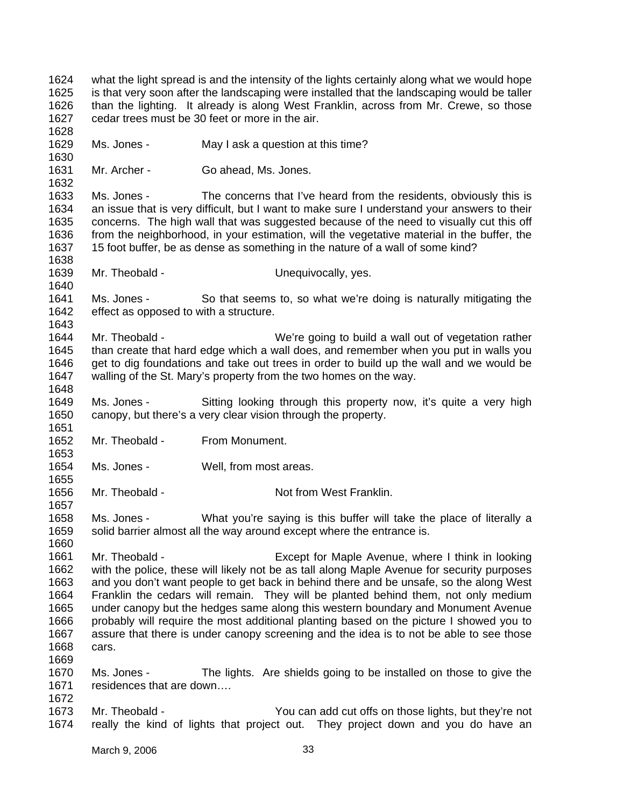1624 1625 1626 1627 1628 1629 1630 1631 1632 1633 1634 1635 1636 1637 1638 1639 1640 1641 1642 1643 1644 1645 1646 1647 1648 1649 1650 1651 1652 1653 1654 1655 1656 1657 1658 1659 1660 1661 1662 1663 1664 1665 1666 1667 1668 1669 1670 1671 1672 1673 1674 what the light spread is and the intensity of the lights certainly along what we would hope is that very soon after the landscaping were installed that the landscaping would be taller than the lighting. It already is along West Franklin, across from Mr. Crewe, so those cedar trees must be 30 feet or more in the air. Ms. Jones - May I ask a question at this time? Mr. Archer - Go ahead, Ms. Jones. Ms. Jones - The concerns that I've heard from the residents, obviously this is an issue that is very difficult, but I want to make sure I understand your answers to their concerns. The high wall that was suggested because of the need to visually cut this off from the neighborhood, in your estimation, will the vegetative material in the buffer, the 15 foot buffer, be as dense as something in the nature of a wall of some kind? Mr. Theobald - Theory Chequivocally, yes. Ms. Jones - So that seems to, so what we're doing is naturally mitigating the effect as opposed to with a structure. Mr. Theobald - We're going to build a wall out of vegetation rather than create that hard edge which a wall does, and remember when you put in walls you get to dig foundations and take out trees in order to build up the wall and we would be walling of the St. Mary's property from the two homes on the way. Ms. Jones - Sitting looking through this property now, it's quite a very high canopy, but there's a very clear vision through the property. Mr. Theobald - From Monument. Ms. Jones - Well, from most areas. Mr. Theobald - Not from West Franklin. Ms. Jones - What you're saying is this buffer will take the place of literally a solid barrier almost all the way around except where the entrance is. Mr. Theobald - Except for Maple Avenue, where I think in looking with the police, these will likely not be as tall along Maple Avenue for security purposes and you don't want people to get back in behind there and be unsafe, so the along West Franklin the cedars will remain. They will be planted behind them, not only medium under canopy but the hedges same along this western boundary and Monument Avenue probably will require the most additional planting based on the picture I showed you to assure that there is under canopy screening and the idea is to not be able to see those cars. Ms. Jones - The lights. Are shields going to be installed on those to give the residences that are down…. Mr. Theobald - Theobald - You can add cut offs on those lights, but they're not really the kind of lights that project out. They project down and you do have an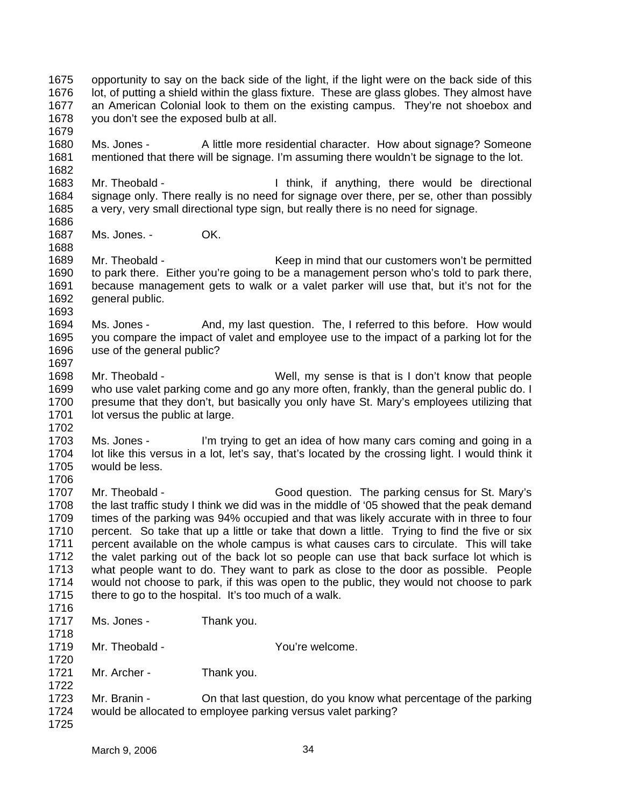- 1675 1676 1677 1678 opportunity to say on the back side of the light, if the light were on the back side of this lot, of putting a shield within the glass fixture. These are glass globes. They almost have an American Colonial look to them on the existing campus. They're not shoebox and you don't see the exposed bulb at all.
- 1680 1681 Ms. Jones - A little more residential character. How about signage? Someone mentioned that there will be signage. I'm assuming there wouldn't be signage to the lot.
- 1683 1684 1685 Mr. Theobald - Theobald - Think, if anything, there would be directional signage only. There really is no need for signage over there, per se, other than possibly a very, very small directional type sign, but really there is no need for signage.
- 1687 Ms. Jones. - OK.
- 1689 1690 1691 1692 Mr. Theobald - Theobald - Keep in mind that our customers won't be permitted to park there. Either you're going to be a management person who's told to park there, because management gets to walk or a valet parker will use that, but it's not for the general public.
- 1694 1695 1696 Ms. Jones - And, my last question. The, I referred to this before. How would you compare the impact of valet and employee use to the impact of a parking lot for the use of the general public?
- 1698 1699 1700 1701 Mr. Theobald - Well, my sense is that is I don't know that people who use valet parking come and go any more often, frankly, than the general public do. I presume that they don't, but basically you only have St. Mary's employees utilizing that lot versus the public at large.
- 1702

1679

1682

1686

1688

1693

1697

- 1703 1704 1705 1706 Ms. Jones - I'm trying to get an idea of how many cars coming and going in a lot like this versus in a lot, let's say, that's located by the crossing light. I would think it would be less.
- 1707 1708 1709 1710 1711 1712 1713 1714 1715 Mr. Theobald - Good question. The parking census for St. Mary's the last traffic study I think we did was in the middle of '05 showed that the peak demand times of the parking was 94% occupied and that was likely accurate with in three to four percent. So take that up a little or take that down a little. Trying to find the five or six percent available on the whole campus is what causes cars to circulate. This will take the valet parking out of the back lot so people can use that back surface lot which is what people want to do. They want to park as close to the door as possible. People would not choose to park, if this was open to the public, they would not choose to park there to go to the hospital. It's too much of a walk.
- 1716

1720

- 1717 Ms. Jones - Thank you.
- 1718 1719 Mr. Theobald - Theore Controller Muslim Pouling Wallet Muslim Pouling Wallet Muslim Pouling Muslim Pouling Muslim Pouling Muslim Pouling Muslim Pouling Muslim Pouling Muslim Pouling Muslim Pouling Muslim Pouling Muslim Pou
- 1721 Mr. Archer - Thank you.
- 1722 1723 1724 Mr. Branin - On that last question, do you know what percentage of the parking would be allocated to employee parking versus valet parking?
- 1725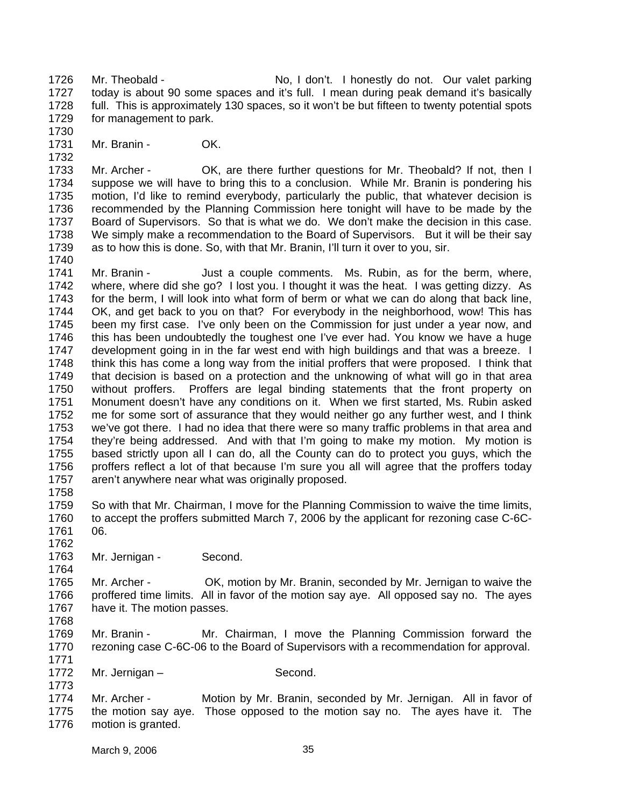1726 1727 1728 1729 1730 Mr. Theobald - No, I don't. I honestly do not. Our valet parking today is about 90 some spaces and it's full. I mean during peak demand it's basically full. This is approximately 130 spaces, so it won't be but fifteen to twenty potential spots for management to park.

1731 Mr. Branin - **OK.** 

1733 1734 1735 1736 1737 1738 1739 1740 Mr. Archer - OK, are there further questions for Mr. Theobald? If not, then I suppose we will have to bring this to a conclusion. While Mr. Branin is pondering his motion, I'd like to remind everybody, particularly the public, that whatever decision is recommended by the Planning Commission here tonight will have to be made by the Board of Supervisors. So that is what we do. We don't make the decision in this case. We simply make a recommendation to the Board of Supervisors. But it will be their say as to how this is done. So, with that Mr. Branin, I'll turn it over to you, sir.

1741 1742 1743 1744 1745 1746 1747 1748 1749 1750 1751 1752 1753 1754 1755 1756 1757 Mr. Branin - Just a couple comments. Ms. Rubin, as for the berm, where, where, where did she go? I lost you. I thought it was the heat. I was getting dizzy. As for the berm, I will look into what form of berm or what we can do along that back line, OK, and get back to you on that? For everybody in the neighborhood, wow! This has been my first case. I've only been on the Commission for just under a year now, and this has been undoubtedly the toughest one I've ever had. You know we have a huge development going in in the far west end with high buildings and that was a breeze. I think this has come a long way from the initial proffers that were proposed. I think that that decision is based on a protection and the unknowing of what will go in that area without proffers. Proffers are legal binding statements that the front property on Monument doesn't have any conditions on it. When we first started, Ms. Rubin asked me for some sort of assurance that they would neither go any further west, and I think we've got there. I had no idea that there were so many traffic problems in that area and they're being addressed. And with that I'm going to make my motion. My motion is based strictly upon all I can do, all the County can do to protect you guys, which the proffers reflect a lot of that because I'm sure you all will agree that the proffers today aren't anywhere near what was originally proposed.

1758

1732

1759 1760 1761 So with that Mr. Chairman, I move for the Planning Commission to waive the time limits, to accept the proffers submitted March 7, 2006 by the applicant for rezoning case C-6C-06.

1762

1773

1763 1764 Mr. Jernigan - Second.

1765 1766 1767 1768 Mr. Archer - OK, motion by Mr. Branin, seconded by Mr. Jernigan to waive the proffered time limits. All in favor of the motion say aye. All opposed say no. The ayes have it. The motion passes.

- 1769 1770 1771 Mr. Branin - Mr. Chairman, I move the Planning Commission forward the rezoning case C-6C-06 to the Board of Supervisors with a recommendation for approval.
- 1772 Mr. Jernigan – Second.

1774 1775 1776 Mr. Archer - Motion by Mr. Branin, seconded by Mr. Jernigan. All in favor of the motion say aye. Those opposed to the motion say no. The ayes have it. The motion is granted.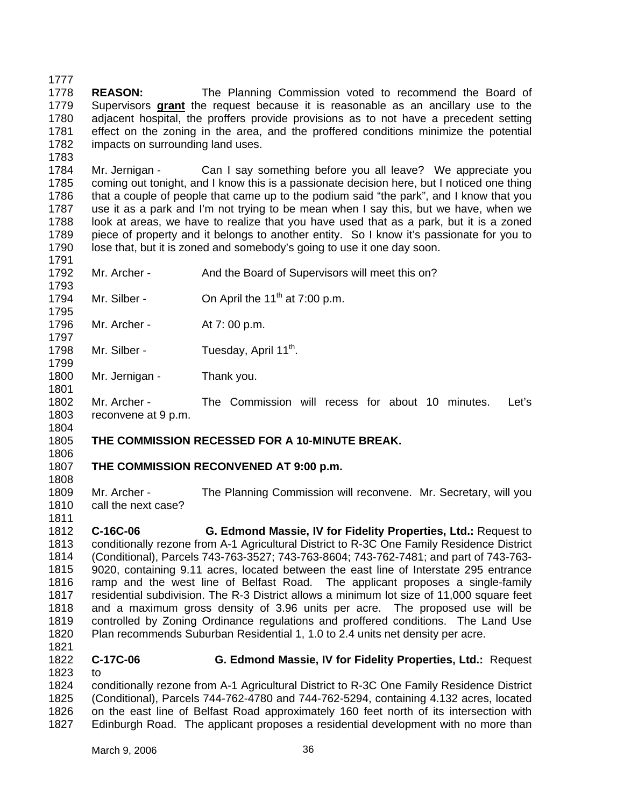1777 1778 **REASON:** The Planning Commission voted to recommend the Board of Supervisors **grant** the request because it is reasonable as an ancillary use to the adjacent hospital, the proffers provide provisions as to not have a precedent setting effect on the zoning in the area, and the proffered conditions minimize the potential impacts on surrounding land uses. 1779 1780 1781 1782

1784 1785 1786 1787 1788 1789 1790 Mr. Jernigan - Can I say something before you all leave? We appreciate you coming out tonight, and I know this is a passionate decision here, but I noticed one thing that a couple of people that came up to the podium said "the park", and I know that you use it as a park and I'm not trying to be mean when I say this, but we have, when we look at areas, we have to realize that you have used that as a park, but it is a zoned piece of property and it belongs to another entity. So I know it's passionate for you to lose that, but it is zoned and somebody's going to use it one day soon.

- 1791 1792 Mr. Archer - And the Board of Supervisors will meet this on?
- 1793 1794 Mr. Silber -  $\qquad$  On April the 11<sup>th</sup> at 7:00 p.m.
- 1796 Mr. Archer - At 7:00 p.m.
- 1798 Mr. Silber - Tuesday, April  $11^{th}$ .
- 1800 1801 Mr. Jernigan - Thank you.
- 1802 1803 Mr. Archer - The Commission will recess for about 10 minutes. Let's reconvene at 9 p.m.
- 1804

1808

1811

1795

1797

1799

1783

1805 1806

## **THE COMMISSION RECESSED FOR A 10-MINUTE BREAK.**

- 1807 **THE COMMISSION RECONVENED AT 9:00 p.m.**
- 1809 1810 Mr. Archer - The Planning Commission will reconvene. Mr. Secretary, will you call the next case?
- 1812 1813 1814 1815 1816 1817 1818 1819 1820 1821 **C-16C-06 G. Edmond Massie, IV for Fidelity Properties, Ltd.:** Request to conditionally rezone from A-1 Agricultural District to R-3C One Family Residence District (Conditional), Parcels 743-763-3527; 743-763-8604; 743-762-7481; and part of 743-763- 9020, containing 9.11 acres, located between the east line of Interstate 295 entrance ramp and the west line of Belfast Road. The applicant proposes a single-family residential subdivision. The R-3 District allows a minimum lot size of 11,000 square feet and a maximum gross density of 3.96 units per acre. The proposed use will be controlled by Zoning Ordinance regulations and proffered conditions. The Land Use Plan recommends Suburban Residential 1, 1.0 to 2.4 units net density per acre.
- 1822 1823 **C-17C-06 G. Edmond Massie, IV for Fidelity Properties, Ltd.:** Request to

1824 1825 1826 1827 conditionally rezone from A-1 Agricultural District to R-3C One Family Residence District (Conditional), Parcels 744-762-4780 and 744-762-5294, containing 4.132 acres, located on the east line of Belfast Road approximately 160 feet north of its intersection with Edinburgh Road. The applicant proposes a residential development with no more than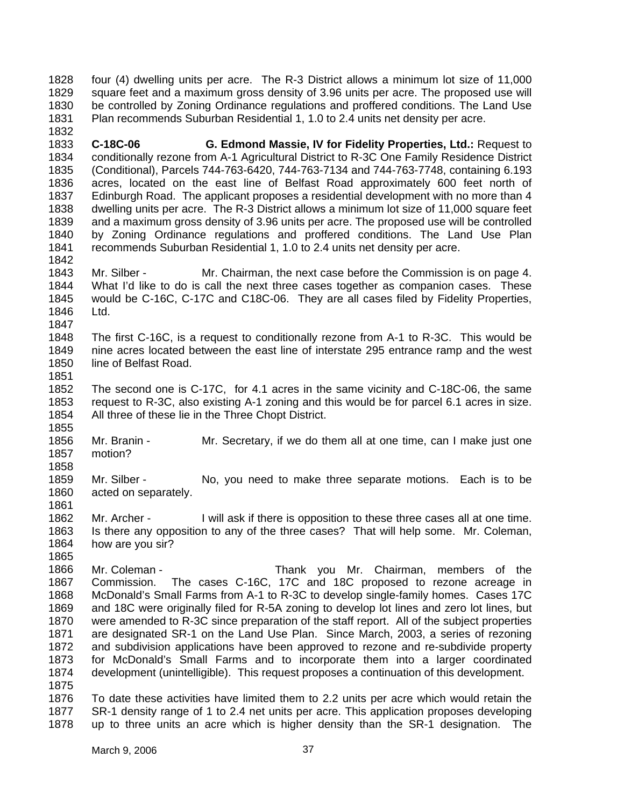1828 1829 1830 1831 four (4) dwelling units per acre. The R-3 District allows a minimum lot size of 11,000 square feet and a maximum gross density of 3.96 units per acre. The proposed use will be controlled by Zoning Ordinance regulations and proffered conditions. The Land Use Plan recommends Suburban Residential 1, 1.0 to 2.4 units net density per acre.

1833 1834 1835 1836 1837 1838 1839 1840 1841 1842 **C-18C-06 G. Edmond Massie, IV for Fidelity Properties, Ltd.:** Request to conditionally rezone from A-1 Agricultural District to R-3C One Family Residence District (Conditional), Parcels 744-763-6420, 744-763-7134 and 744-763-7748, containing 6.193 acres, located on the east line of Belfast Road approximately 600 feet north of Edinburgh Road. The applicant proposes a residential development with no more than 4 dwelling units per acre. The R-3 District allows a minimum lot size of 11,000 square feet and a maximum gross density of 3.96 units per acre. The proposed use will be controlled by Zoning Ordinance regulations and proffered conditions. The Land Use Plan recommends Suburban Residential 1, 1.0 to 2.4 units net density per acre.

1843 1844 1845 1846 Mr. Silber - Mr. Chairman, the next case before the Commission is on page 4. What I'd like to do is call the next three cases together as companion cases. These would be C-16C, C-17C and C18C-06. They are all cases filed by Fidelity Properties, Ltd.

1848 1849 1850 1851 The first C-16C, is a request to conditionally rezone from A-1 to R-3C. This would be nine acres located between the east line of interstate 295 entrance ramp and the west line of Belfast Road.

1852 1853 1854 The second one is C-17C, for 4.1 acres in the same vicinity and C-18C-06, the same request to R-3C, also existing A-1 zoning and this would be for parcel 6.1 acres in size. All three of these lie in the Three Chopt District.

1856 1857 1858 Mr. Branin - Mr. Secretary, if we do them all at one time, can I make just one motion?

1859 1860 1861 Mr. Silber - No, you need to make three separate motions. Each is to be acted on separately.

1862 1863 1864 Mr. Archer - I will ask if there is opposition to these three cases all at one time. Is there any opposition to any of the three cases? That will help some. Mr. Coleman, how are you sir?

1866 1867 1868 1869 1870 1871 1872 1873 1874 1875 Mr. Coleman - Thank you Mr. Chairman, members of the Commission. The cases C-16C, 17C and 18C proposed to rezone acreage in McDonald's Small Farms from A-1 to R-3C to develop single-family homes. Cases 17C and 18C were originally filed for R-5A zoning to develop lot lines and zero lot lines, but were amended to R-3C since preparation of the staff report. All of the subject properties are designated SR-1 on the Land Use Plan. Since March, 2003, a series of rezoning and subdivision applications have been approved to rezone and re-subdivide property for McDonald's Small Farms and to incorporate them into a larger coordinated development (unintelligible). This request proposes a continuation of this development.

1876 1877 1878 To date these activities have limited them to 2.2 units per acre which would retain the SR-1 density range of 1 to 2.4 net units per acre. This application proposes developing up to three units an acre which is higher density than the SR-1 designation. The

1832

1847

1855

1865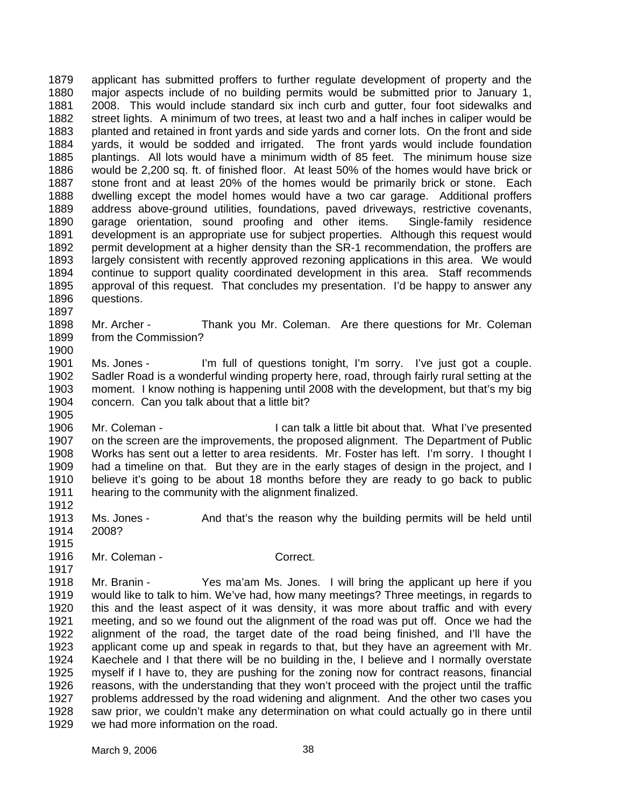1879 1880 1881 1882 1883 1884 1885 1886 1887 1888 1889 1890 1891 1892 1893 1894 1895 1896 applicant has submitted proffers to further regulate development of property and the major aspects include of no building permits would be submitted prior to January 1, 2008. This would include standard six inch curb and gutter, four foot sidewalks and street lights. A minimum of two trees, at least two and a half inches in caliper would be planted and retained in front yards and side yards and corner lots. On the front and side yards, it would be sodded and irrigated. The front yards would include foundation plantings. All lots would have a minimum width of 85 feet. The minimum house size would be 2,200 sq. ft. of finished floor. At least 50% of the homes would have brick or stone front and at least 20% of the homes would be primarily brick or stone. Each dwelling except the model homes would have a two car garage. Additional proffers address above-ground utilities, foundations, paved driveways, restrictive covenants, garage orientation, sound proofing and other items. Single-family residence development is an appropriate use for subject properties. Although this request would permit development at a higher density than the SR-1 recommendation, the proffers are largely consistent with recently approved rezoning applications in this area. We would continue to support quality coordinated development in this area. Staff recommends approval of this request. That concludes my presentation. I'd be happy to answer any questions.

1898 1899 Mr. Archer - Thank you Mr. Coleman. Are there questions for Mr. Coleman from the Commission?

1901 1902 1903 1904 Ms. Jones - I'm full of questions tonight, I'm sorry. I've just got a couple. Sadler Road is a wonderful winding property here, road, through fairly rural setting at the moment. I know nothing is happening until 2008 with the development, but that's my big concern. Can you talk about that a little bit?

1906 1907 1908 1909 1910 1911 Mr. Coleman - The Soleman - I can talk a little bit about that. What I've presented on the screen are the improvements, the proposed alignment. The Department of Public Works has sent out a letter to area residents. Mr. Foster has left. I'm sorry. I thought I had a timeline on that. But they are in the early stages of design in the project, and I believe it's going to be about 18 months before they are ready to go back to public hearing to the community with the alignment finalized.

1913 1914 Ms. Jones - And that's the reason why the building permits will be held until 2008?

1915 1916 Mr. Coleman - Correct.

1897

1900

1905

1912

1917

1918 1919 1920 1921 1922 1923 1924 1925 1926 1927 1928 1929 Mr. Branin - Yes ma'am Ms. Jones. I will bring the applicant up here if you would like to talk to him. We've had, how many meetings? Three meetings, in regards to this and the least aspect of it was density, it was more about traffic and with every meeting, and so we found out the alignment of the road was put off. Once we had the alignment of the road, the target date of the road being finished, and I'll have the applicant come up and speak in regards to that, but they have an agreement with Mr. Kaechele and I that there will be no building in the, I believe and I normally overstate myself if I have to, they are pushing for the zoning now for contract reasons, financial reasons, with the understanding that they won't proceed with the project until the traffic problems addressed by the road widening and alignment. And the other two cases you saw prior, we couldn't make any determination on what could actually go in there until we had more information on the road.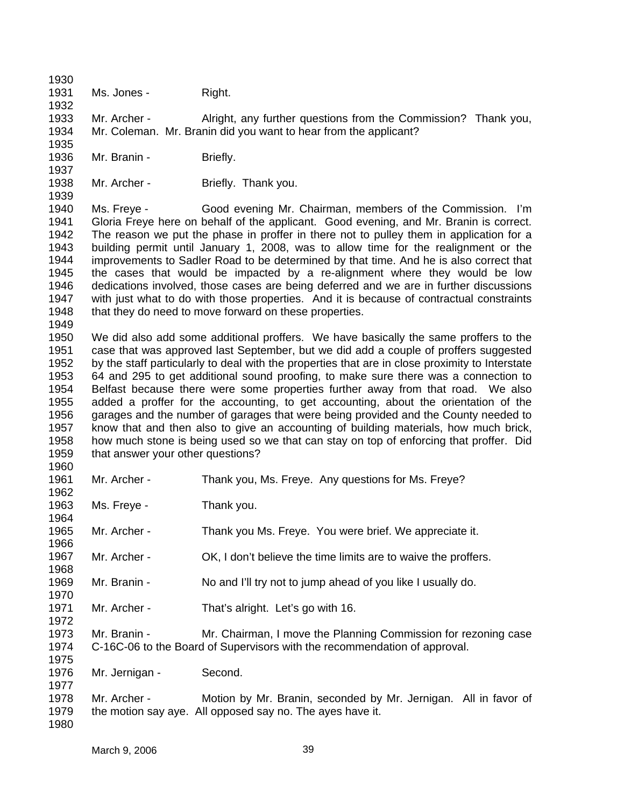1930 1931

1932

1935

1937

1960

Ms. Jones - Right.

1933 1934 Mr. Archer - Alright, any further questions from the Commission? Thank you, Mr. Coleman. Mr. Branin did you want to hear from the applicant?

- 1936 Mr. Branin - Briefly.
- 1938 1939 Mr. Archer - Briefly. Thank you.

1940 1941 1942 1943 1944 1945 1946 1947 1948 1949 Ms. Freye - Good evening Mr. Chairman, members of the Commission. I'm Gloria Freye here on behalf of the applicant. Good evening, and Mr. Branin is correct. The reason we put the phase in proffer in there not to pulley them in application for a building permit until January 1, 2008, was to allow time for the realignment or the improvements to Sadler Road to be determined by that time. And he is also correct that the cases that would be impacted by a re-alignment where they would be low dedications involved, those cases are being deferred and we are in further discussions with just what to do with those properties. And it is because of contractual constraints that they do need to move forward on these properties.

1950 1951 1952 1953 1954 1955 1956 1957 1958 1959 We did also add some additional proffers. We have basically the same proffers to the case that was approved last September, but we did add a couple of proffers suggested by the staff particularly to deal with the properties that are in close proximity to Interstate 64 and 295 to get additional sound proofing, to make sure there was a connection to Belfast because there were some properties further away from that road. We also added a proffer for the accounting, to get accounting, about the orientation of the garages and the number of garages that were being provided and the County needed to know that and then also to give an accounting of building materials, how much brick, how much stone is being used so we that can stay on top of enforcing that proffer. Did that answer your other questions?

1961 1962 1963 1964 1965 1966 1967 1968 1969 1970 1971 1972 1973 1974 1975 1976 1977 1978 1979 1980 Mr. Archer - Thank you, Ms. Freye. Any questions for Ms. Freye? Ms. Freye - Thank you. Mr. Archer - Thank you Ms. Freye. You were brief. We appreciate it. Mr. Archer - OK, I don't believe the time limits are to waive the proffers. Mr. Branin - No and I'll try not to jump ahead of you like I usually do. Mr. Archer - That's alright. Let's go with 16. Mr. Branin - Mr. Chairman, I move the Planning Commission for rezoning case C-16C-06 to the Board of Supervisors with the recommendation of approval. Mr. Jernigan - Second. Mr. Archer - Motion by Mr. Branin, seconded by Mr. Jernigan. All in favor of the motion say aye. All opposed say no. The ayes have it.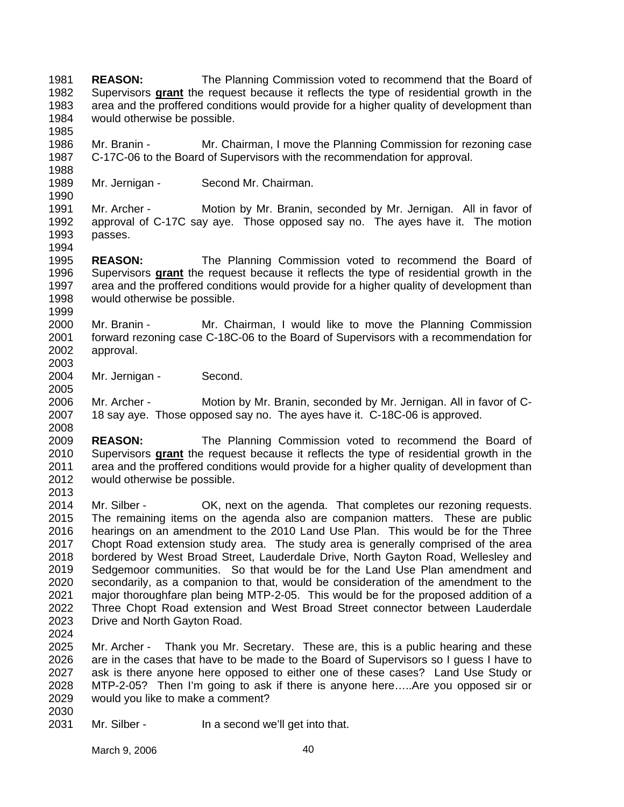**REASON:** The Planning Commission voted to recommend that the Board of Supervisors **grant** the request because it reflects the type of residential growth in the 1981 area and the proffered conditions would provide for a higher quality of development than would otherwise be possible. 1982 1983 1984

1986 1987 1988 Mr. Branin - Mr. Chairman, I move the Planning Commission for rezoning case C-17C-06 to the Board of Supervisors with the recommendation for approval.

1989 1990 Mr. Jernigan - Second Mr. Chairman.

1991 1992 1993 1994 Mr. Archer - Motion by Mr. Branin, seconded by Mr. Jernigan. All in favor of approval of C-17C say aye. Those opposed say no. The ayes have it. The motion passes.

1995 **REASON:** The Planning Commission voted to recommend the Board of Supervisors **grant** the request because it reflects the type of residential growth in the area and the proffered conditions would provide for a higher quality of development than would otherwise be possible. 1996 1997 1998

2000 2001 2002 Mr. Branin - Mr. Chairman, I would like to move the Planning Commission forward rezoning case C-18C-06 to the Board of Supervisors with a recommendation for approval.

2004 2005 Mr. Jernigan - Second.

2006 2007 2008 Mr. Archer - Motion by Mr. Branin, seconded by Mr. Jernigan. All in favor of C-18 say aye. Those opposed say no. The ayes have it. C-18C-06 is approved.

2009 **REASON:** The Planning Commission voted to recommend the Board of Supervisors **grant** the request because it reflects the type of residential growth in the area and the proffered conditions would provide for a higher quality of development than would otherwise be possible. 2010 2011 2012

2013

2030

1985

1999

2003

2014 2015 2016 2017 2018 2019 2020 2021 2022 2023 2024 Mr. Silber - OK, next on the agenda. That completes our rezoning requests. The remaining items on the agenda also are companion matters. These are public hearings on an amendment to the 2010 Land Use Plan. This would be for the Three Chopt Road extension study area. The study area is generally comprised of the area bordered by West Broad Street, Lauderdale Drive, North Gayton Road, Wellesley and Sedgemoor communities. So that would be for the Land Use Plan amendment and secondarily, as a companion to that, would be consideration of the amendment to the major thoroughfare plan being MTP-2-05. This would be for the proposed addition of a Three Chopt Road extension and West Broad Street connector between Lauderdale Drive and North Gayton Road.

2025 2026 2027 2028 2029 Mr. Archer - Thank you Mr. Secretary. These are, this is a public hearing and these are in the cases that have to be made to the Board of Supervisors so I guess I have to ask is there anyone here opposed to either one of these cases? Land Use Study or MTP-2-05? Then I'm going to ask if there is anyone here…..Are you opposed sir or would you like to make a comment?

2031 Mr. Silber - In a second we'll get into that.

March 9, 2006 40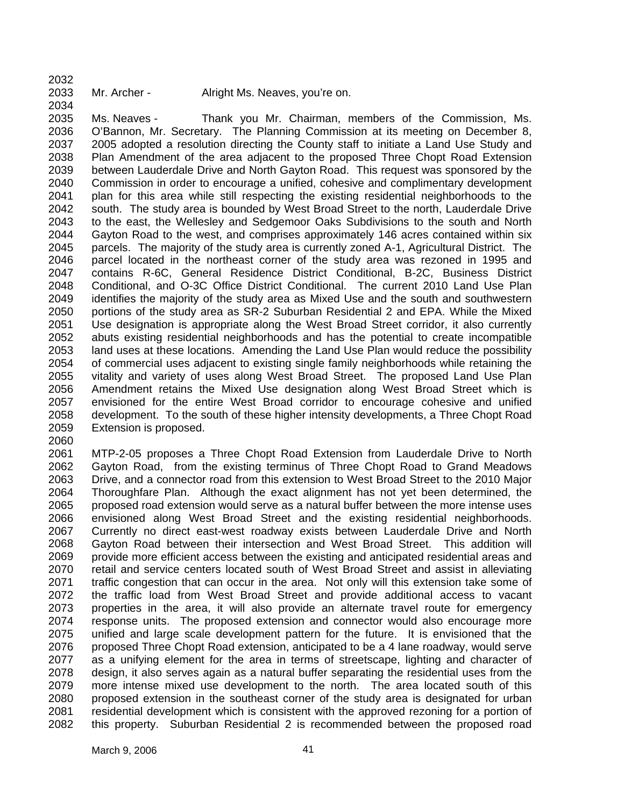- 2032
- 2033

2034 2035 2036 2037 2038 2039 2040 2041 2042 2043 2044 2045 2046 2047 2048 2049 2050 2051 2052 2053 2054 2055 2056 2057 2058 2059 Ms. Neaves - Thank you Mr. Chairman, members of the Commission, Ms. O'Bannon, Mr. Secretary. The Planning Commission at its meeting on December 8, 2005 adopted a resolution directing the County staff to initiate a Land Use Study and Plan Amendment of the area adjacent to the proposed Three Chopt Road Extension between Lauderdale Drive and North Gayton Road. This request was sponsored by the Commission in order to encourage a unified, cohesive and complimentary development plan for this area while still respecting the existing residential neighborhoods to the south. The study area is bounded by West Broad Street to the north, Lauderdale Drive to the east, the Wellesley and Sedgemoor Oaks Subdivisions to the south and North Gayton Road to the west, and comprises approximately 146 acres contained within six parcels. The majority of the study area is currently zoned A-1, Agricultural District. The parcel located in the northeast corner of the study area was rezoned in 1995 and contains R-6C, General Residence District Conditional, B-2C, Business District Conditional, and O-3C Office District Conditional. The current 2010 Land Use Plan identifies the majority of the study area as Mixed Use and the south and southwestern portions of the study area as SR-2 Suburban Residential 2 and EPA. While the Mixed Use designation is appropriate along the West Broad Street corridor, it also currently abuts existing residential neighborhoods and has the potential to create incompatible land uses at these locations. Amending the Land Use Plan would reduce the possibility of commercial uses adjacent to existing single family neighborhoods while retaining the vitality and variety of uses along West Broad Street. The proposed Land Use Plan Amendment retains the Mixed Use designation along West Broad Street which is envisioned for the entire West Broad corridor to encourage cohesive and unified development. To the south of these higher intensity developments, a Three Chopt Road Extension is proposed.

2060

2061 2062 2063 2064 2065 2066 2067 2068 2069 2070 2071 2072 2073 2074 2075 2076 2077 2078 2079 2080 2081 2082 MTP-2-05 proposes a Three Chopt Road Extension from Lauderdale Drive to North Gayton Road, from the existing terminus of Three Chopt Road to Grand Meadows Drive, and a connector road from this extension to West Broad Street to the 2010 Major Thoroughfare Plan. Although the exact alignment has not yet been determined, the proposed road extension would serve as a natural buffer between the more intense uses envisioned along West Broad Street and the existing residential neighborhoods. Currently no direct east-west roadway exists between Lauderdale Drive and North Gayton Road between their intersection and West Broad Street. This addition will provide more efficient access between the existing and anticipated residential areas and retail and service centers located south of West Broad Street and assist in alleviating traffic congestion that can occur in the area. Not only will this extension take some of the traffic load from West Broad Street and provide additional access to vacant properties in the area, it will also provide an alternate travel route for emergency response units. The proposed extension and connector would also encourage more unified and large scale development pattern for the future. It is envisioned that the proposed Three Chopt Road extension, anticipated to be a 4 lane roadway, would serve as a unifying element for the area in terms of streetscape, lighting and character of design, it also serves again as a natural buffer separating the residential uses from the more intense mixed use development to the north. The area located south of this proposed extension in the southeast corner of the study area is designated for urban residential development which is consistent with the approved rezoning for a portion of this property. Suburban Residential 2 is recommended between the proposed road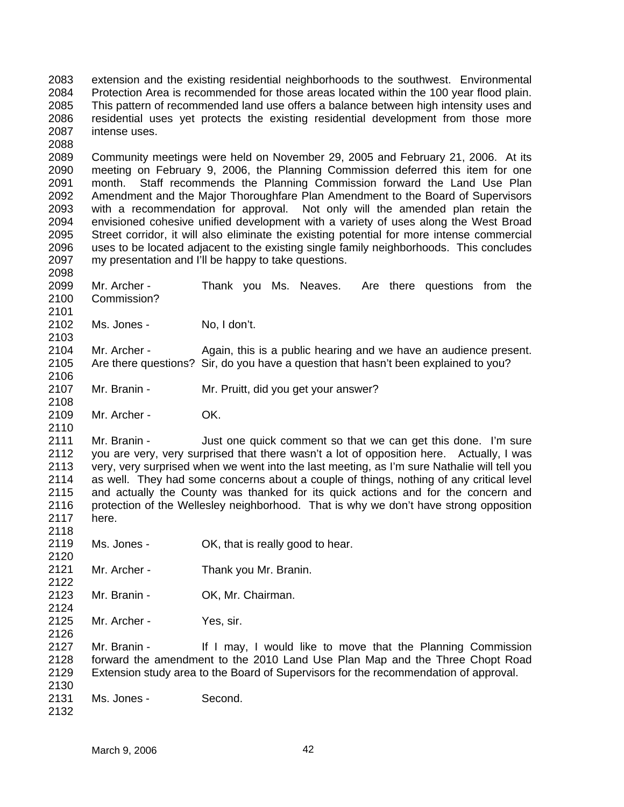2083 2084 2085 2086 2087 extension and the existing residential neighborhoods to the southwest. Environmental Protection Area is recommended for those areas located within the 100 year flood plain. This pattern of recommended land use offers a balance between high intensity uses and residential uses yet protects the existing residential development from those more intense uses.

2089 2090 2091 2092 2093 2094 2095 2096 2097 Community meetings were held on November 29, 2005 and February 21, 2006. At its meeting on February 9, 2006, the Planning Commission deferred this item for one month. Staff recommends the Planning Commission forward the Land Use Plan Amendment and the Major Thoroughfare Plan Amendment to the Board of Supervisors with a recommendation for approval. Not only will the amended plan retain the envisioned cohesive unified development with a variety of uses along the West Broad Street corridor, it will also eliminate the existing potential for more intense commercial uses to be located adjacent to the existing single family neighborhoods. This concludes my presentation and I'll be happy to take questions.

2099 2100 2101 2102 2103 2104 2105 2106 2107 2108 2109 2110 2111 2112 2113 2114 2115 2116 2117 2118 2119 2120 2121 2122 2123 2124 2125 2126 2127 2128 2129 Mr. Archer - Thank you Ms. Neaves. Are there questions from the Commission? Ms. Jones - No, I don't. Mr. Archer - Again, this is a public hearing and we have an audience present. Are there questions? Sir, do you have a question that hasn't been explained to you? Mr. Branin - Mr. Pruitt, did you get your answer? Mr. Archer - OK. Mr. Branin - Just one quick comment so that we can get this done. I'm sure you are very, very surprised that there wasn't a lot of opposition here. Actually, I was very, very surprised when we went into the last meeting, as I'm sure Nathalie will tell you as well. They had some concerns about a couple of things, nothing of any critical level and actually the County was thanked for its quick actions and for the concern and protection of the Wellesley neighborhood. That is why we don't have strong opposition here. Ms. Jones - CK, that is really good to hear. Mr. Archer - Thank you Mr. Branin. Mr. Branin - OK, Mr. Chairman. Mr. Archer - Yes, sir. Mr. Branin - If I may, I would like to move that the Planning Commission forward the amendment to the 2010 Land Use Plan Map and the Three Chopt Road Extension study area to the Board of Supervisors for the recommendation of approval.

- 2130 2131 Ms. Jones - Second.
- 2132

2088

2098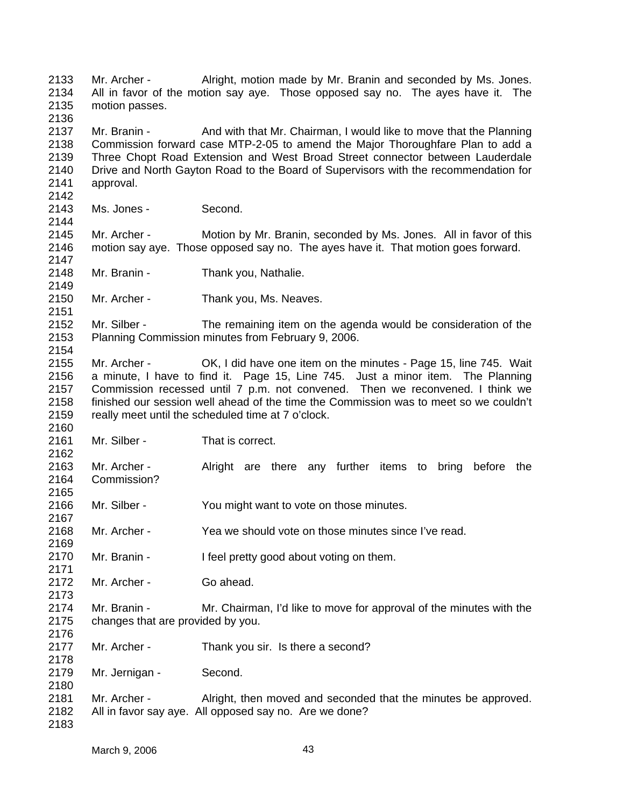2133 2134 2135 2136 2137 2138 2139 2140 2141 2142 2143 2144 2145 2146 2147 2148 2149 2150 2151 2152 2153 2154 2155 2156 2157 2158 2159 2160 2161 2162 2163 2164 2165 2166 2167 2168 2169 2170 2171 2172 2173 2174 2175 2176 2177 2178 2179 2180 2181 2182 2183 Mr. Archer - Alright, motion made by Mr. Branin and seconded by Ms. Jones. All in favor of the motion say aye. Those opposed say no. The ayes have it. The motion passes. Mr. Branin - And with that Mr. Chairman, I would like to move that the Planning Commission forward case MTP-2-05 to amend the Major Thoroughfare Plan to add a Three Chopt Road Extension and West Broad Street connector between Lauderdale Drive and North Gayton Road to the Board of Supervisors with the recommendation for approval. Ms. Jones - Second. Mr. Archer - Motion by Mr. Branin, seconded by Ms. Jones. All in favor of this motion say aye. Those opposed say no. The ayes have it. That motion goes forward. Mr. Branin - Thank you, Nathalie. Mr. Archer - Thank you, Ms. Neaves. Mr. Silber - The remaining item on the agenda would be consideration of the Planning Commission minutes from February 9, 2006. Mr. Archer - OK, I did have one item on the minutes - Page 15, line 745. Wait a minute, I have to find it. Page 15, Line 745. Just a minor item. The Planning Commission recessed until 7 p.m. not convened. Then we reconvened. I think we finished our session well ahead of the time the Commission was to meet so we couldn't really meet until the scheduled time at 7 o'clock. Mr. Silber - That is correct. Mr. Archer - Alright are there any further items to bring before the Commission? Mr. Silber - You might want to vote on those minutes. Mr. Archer - Yea we should vote on those minutes since I've read. Mr. Branin - I feel pretty good about voting on them. Mr. Archer - Go ahead. Mr. Branin - Mr. Chairman, I'd like to move for approval of the minutes with the changes that are provided by you. Mr. Archer - Thank you sir. Is there a second? Mr. Jernigan - Second. Mr. Archer - Alright, then moved and seconded that the minutes be approved. All in favor say aye. All opposed say no. Are we done?